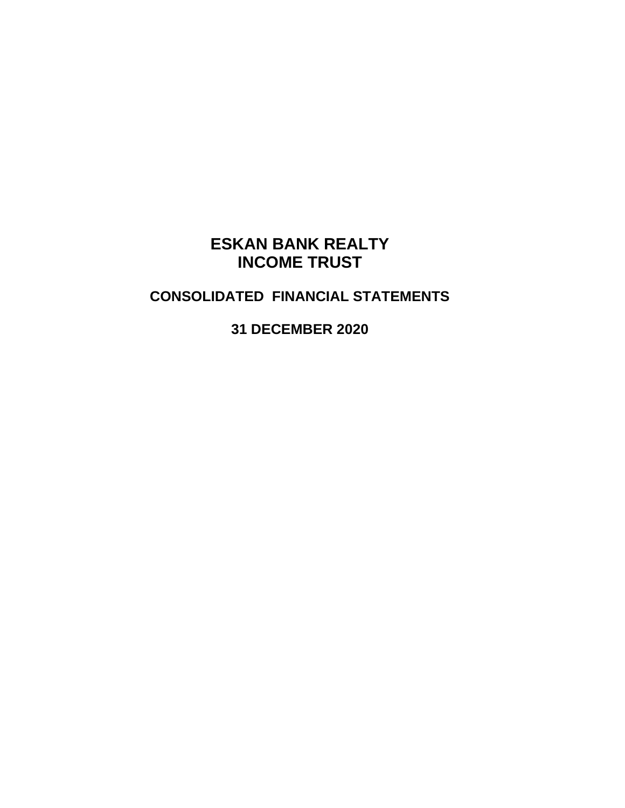# **CONSOLIDATED FINANCIAL STATEMENTS**

**31 DECEMBER 2020**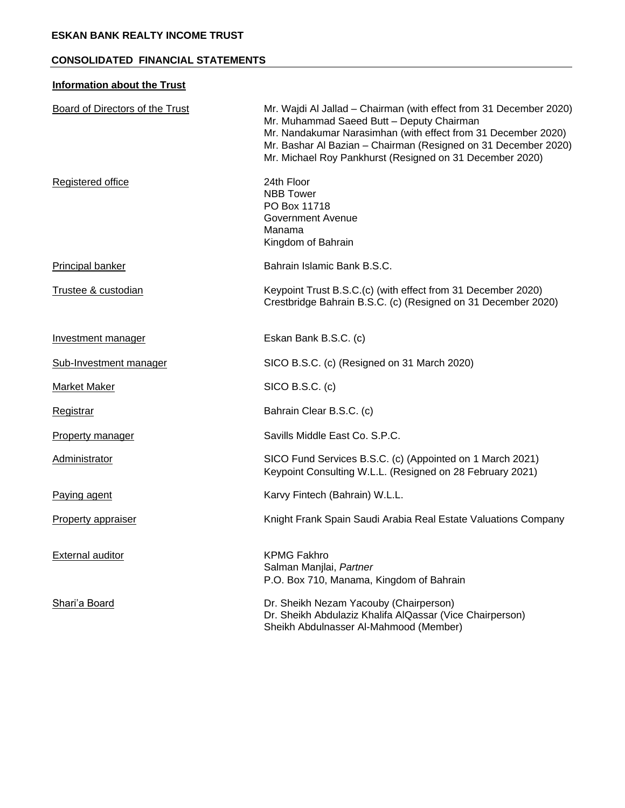# **CONSOLIDATED FINANCIAL STATEMENTS**

| <b>Information about the Trust</b> |                                                                                                                                                                                                                                                                                                                |
|------------------------------------|----------------------------------------------------------------------------------------------------------------------------------------------------------------------------------------------------------------------------------------------------------------------------------------------------------------|
| Board of Directors of the Trust    | Mr. Wajdi Al Jallad - Chairman (with effect from 31 December 2020)<br>Mr. Muhammad Saeed Butt - Deputy Chairman<br>Mr. Nandakumar Narasimhan (with effect from 31 December 2020)<br>Mr. Bashar Al Bazian - Chairman (Resigned on 31 December 2020)<br>Mr. Michael Roy Pankhurst (Resigned on 31 December 2020) |
| <b>Registered office</b>           | 24th Floor<br><b>NBB Tower</b><br>PO Box 11718<br><b>Government Avenue</b><br>Manama<br>Kingdom of Bahrain                                                                                                                                                                                                     |
| Principal banker                   | Bahrain Islamic Bank B.S.C.                                                                                                                                                                                                                                                                                    |
| Trustee & custodian                | Keypoint Trust B.S.C.(c) (with effect from 31 December 2020)<br>Crestbridge Bahrain B.S.C. (c) (Resigned on 31 December 2020)                                                                                                                                                                                  |
| <b>Investment manager</b>          | Eskan Bank B.S.C. (c)                                                                                                                                                                                                                                                                                          |
| Sub-Investment manager             | SICO B.S.C. (c) (Resigned on 31 March 2020)                                                                                                                                                                                                                                                                    |
| Market Maker                       | SICO B.S.C. (c)                                                                                                                                                                                                                                                                                                |
| <b>Registrar</b>                   | Bahrain Clear B.S.C. (c)                                                                                                                                                                                                                                                                                       |
| <b>Property manager</b>            | Savills Middle East Co. S.P.C.                                                                                                                                                                                                                                                                                 |
| Administrator                      | SICO Fund Services B.S.C. (c) (Appointed on 1 March 2021)<br>Keypoint Consulting W.L.L. (Resigned on 28 February 2021)                                                                                                                                                                                         |
| Paying agent                       | Karvy Fintech (Bahrain) W.L.L.                                                                                                                                                                                                                                                                                 |
| <b>Property appraiser</b>          | Knight Frank Spain Saudi Arabia Real Estate Valuations Company                                                                                                                                                                                                                                                 |
| External auditor                   | <b>KPMG Fakhro</b><br>Salman Manjlai, Partner<br>P.O. Box 710, Manama, Kingdom of Bahrain                                                                                                                                                                                                                      |
| Shari'a Board                      | Dr. Sheikh Nezam Yacouby (Chairperson)<br>Dr. Sheikh Abdulaziz Khalifa AlQassar (Vice Chairperson)<br>Sheikh Abdulnasser Al-Mahmood (Member)                                                                                                                                                                   |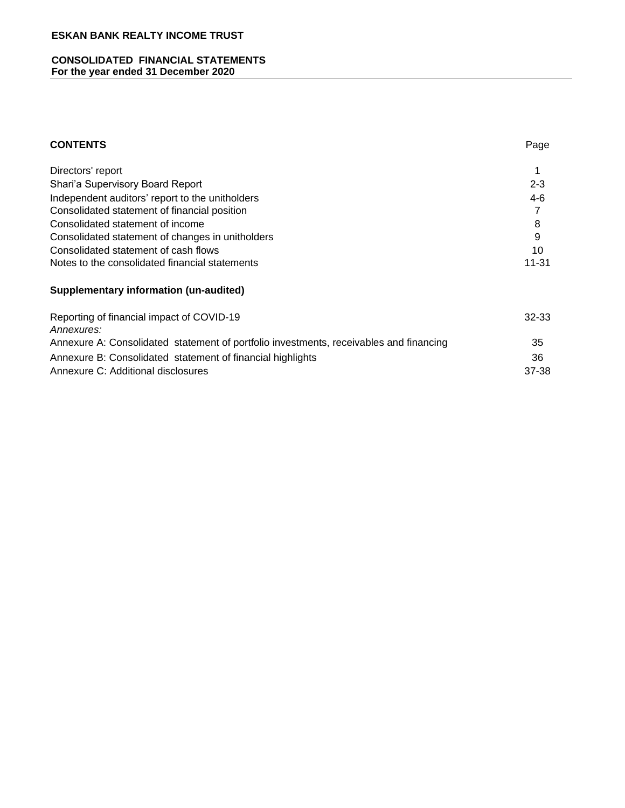# **CONSOLIDATED FINANCIAL STATEMENTS For the year ended 31 December 2020**

# **CONTENTS** Page

| Directors' report                                |           |
|--------------------------------------------------|-----------|
| Shari'a Supervisory Board Report                 | $2 - 3$   |
| Independent auditors' report to the unitholders  | 4-6       |
| Consolidated statement of financial position     |           |
| Consolidated statement of income                 | 8         |
| Consolidated statement of changes in unitholders | 9         |
| Consolidated statement of cash flows             | 10        |
| Notes to the consolidated financial statements   | $11 - 31$ |
|                                                  |           |

# **Supplementary information (un-audited)**

| Reporting of financial impact of COVID-19<br>Annexures:                                | $32 - 33$ |
|----------------------------------------------------------------------------------------|-----------|
| Annexure A: Consolidated statement of portfolio investments, receivables and financing | 35        |
| Annexure B: Consolidated statement of financial highlights                             | -36       |
| Annexure C: Additional disclosures                                                     | 37-38     |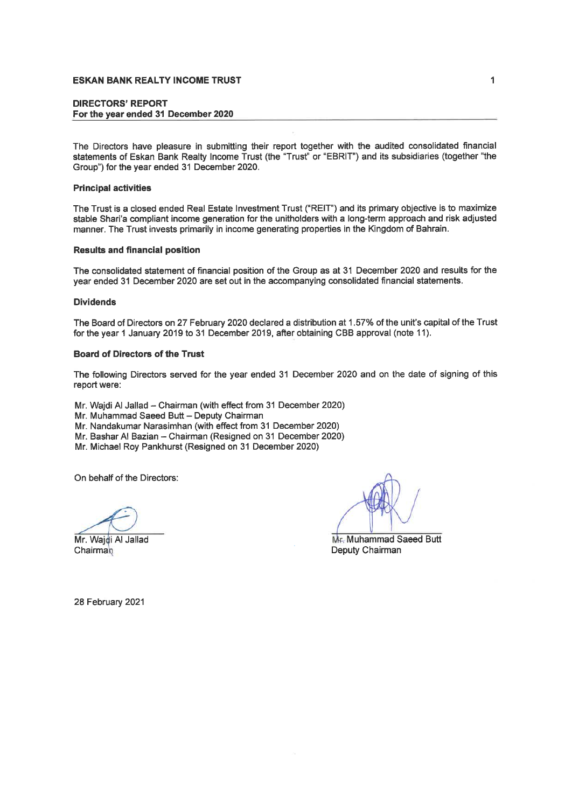#### **DIRECTORS' REPORT** For the year ended 31 December 2020

The Directors have pleasure in submitting their report together with the audited consolidated financial statements of Eskan Bank Realty Income Trust (the "Trust" or "EBRIT") and its subsidiaries (together "the Group") for the year ended 31 December 2020.

#### **Principal activities**

The Trust is a closed ended Real Estate Investment Trust ("REIT") and its primary objective is to maximize stable Shari'a compliant income generation for the unitholders with a long-term approach and risk adjusted manner. The Trust invests primarily in income generating properties in the Kingdom of Bahrain.

#### **Results and financial position**

The consolidated statement of financial position of the Group as at 31 December 2020 and results for the vear ended 31 December 2020 are set out in the accompanying consolidated financial statements.

#### **Dividends**

The Board of Directors on 27 February 2020 declared a distribution at 1.57% of the unit's capital of the Trust for the year 1 January 2019 to 31 December 2019, after obtaining CBB approval (note 11).

#### **Board of Directors of the Trust**

The following Directors served for the year ended 31 December 2020 and on the date of signing of this report were:

Mr. Wajdi Al Jallad - Chairman (with effect from 31 December 2020)

Mr. Muhammad Saeed Butt - Deputy Chairman

Mr. Nandakumar Narasimhan (with effect from 31 December 2020)

Mr. Bashar Al Bazian - Chairman (Resigned on 31 December 2020)

Mr. Michael Roy Pankhurst (Resigned on 31 December 2020)

On behalf of the Directors:

Mr. Wajdi Al Jallad Chairman

Mr. Muhammad Saeed Butt Deputy Chairman

28 February 2021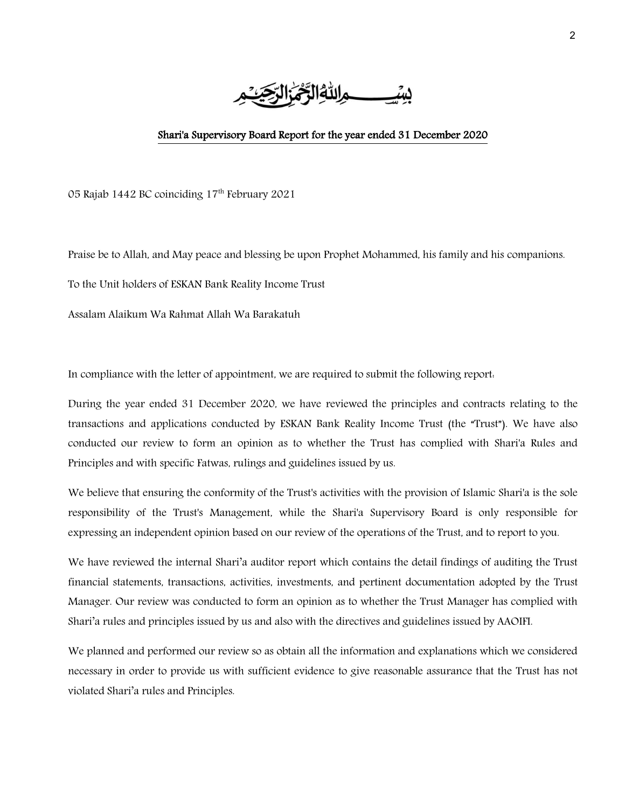ببِنِّي واللَّهُ الرَّحْزَالرِّحِيَّ

# Shari'a Supervisory Board Report for the year ended 31 December 2020

05 Rajab 1442 BC coinciding 17<sup>th</sup> February 2021

Praise be to Allah, and May peace and blessing be upon Prophet Mohammed, his family and his companions.

To the Unit holders of ESKAN Bank Reality Income Trust

Assalam Alaikum Wa Rahmat Allah Wa Barakatuh

In compliance with the letter of appointment, we are required to submit the following report:

During the year ended 31 December 2020, we have reviewed the principles and contracts relating to the transactions and applications conducted by ESKAN Bank Reality Income Trust (the "Trust"). We have also conducted our review to form an opinion as to whether the Trust has complied with Shari'a Rules and Principles and with specific Fatwas, rulings and guidelines issued by us.

We believe that ensuring the conformity of the Trust's activities with the provision of Islamic Shari'a is the sole responsibility of the Trust's Management, while the Shari'a Supervisory Board is only responsible for expressing an independent opinion based on our review of the operations of the Trust, and to report to you.

We have reviewed the internal Shari'a auditor report which contains the detail findings of auditing the Trust financial statements, transactions, activities, investments, and pertinent documentation adopted by the Trust Manager. Our review was conducted to form an opinion as to whether the Trust Manager has complied with Shari'a rules and principles issued by us and also with the directives and guidelines issued by AAOIFI.

We planned and performed our review so as obtain all the information and explanations which we considered necessary in order to provide us with sufficient evidence to give reasonable assurance that the Trust has not violated Shari'a rules and Principles.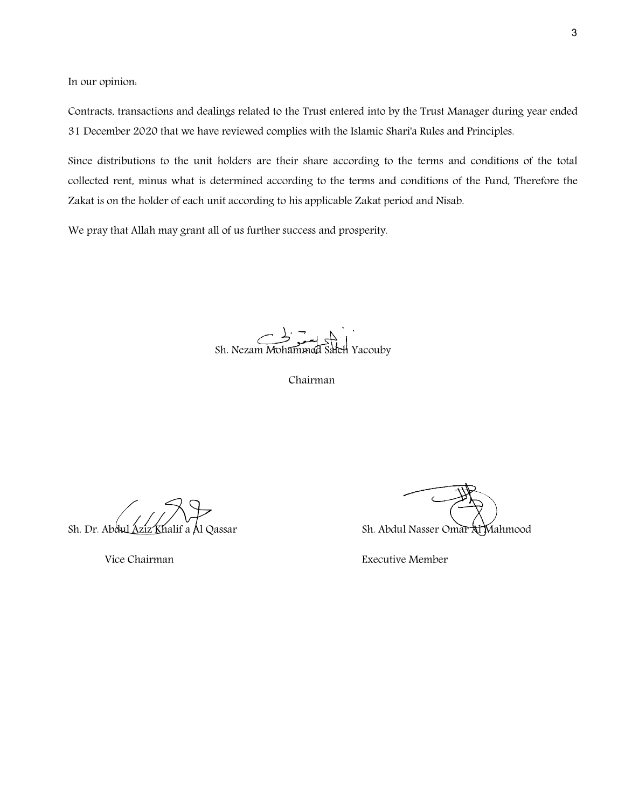In our opinion:

Contracts, transactions and dealings related to the Trust entered into by the Trust Manager during year ended 31 December 2020 that we have reviewed complies with the Islamic Shari'a Rules and Principles.

Since distributions to the unit holders are their share according to the terms and conditions of the total collected rent, minus what is determined according to the terms and conditions of the Fund, Therefore the Zakat is on the holder of each unit according to his applicable Zakat period and Nisab.

We pray that Allah may grant all of us further success and prosperity.

 $\overrightarrow{S}$  Sh. Nezam Mohammed Saleh Yacouby

Chairman

Sh. Dr. Abdul Aziz Khalif a Al Qassar Sh. Abdul Nasser Omar Al Mahmood

Vice Chairman **Executive Member**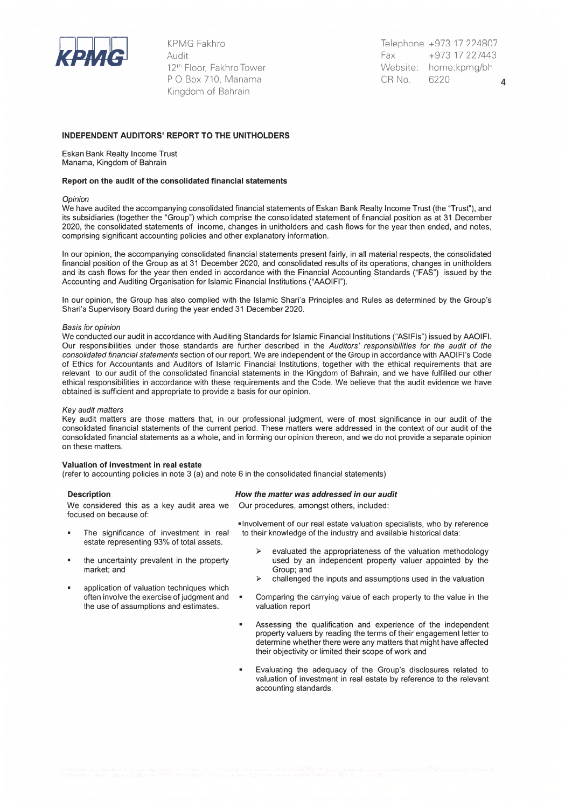

KPMG Fakhro Audit 12<sup>th</sup> Floor, Fakhro Tower P O Box 710, Manama Kingdom of Bahrain

Telephone +973 17 224807 +973 17 227443 Fax Website: home.kpmg/bh CR No. 6220  $\Lambda$ 

#### **INDEPENDENT AUDITORS' REPORT TO THE UNITHOLDERS**

Eskan Bank Realty Income Trust Manama, Kingdom of Bahrain

#### Report on the audit of the consolidated financial statements

#### Opinion

We have audited the accompanying consolidated financial statements of Eskan Bank Realty Income Trust (the "Trust"), and its subsidiaries (together the "Group") which comprise the consolidated statement of financial position as at 31 December 2020, the consolidated statements of income, changes in unitholders and cash flows for the year then ended, and notes, comprising significant accounting policies and other explanatory information.

In our opinion, the accompanying consolidated financial statements present fairly, in all material respects, the consolidated financial position of the Group as at 31 December 2020, and consolidated results of its operations, changes in unitholders and its cash flows for the year then ended in accordance with the Financial Accounting Standards ("FAS") issued by the Accounting and Auditing Organisation for Islamic Financial Institutions ("AAOIFI").

In our opinion, the Group has also complied with the Islamic Shari'a Principles and Rules as determined by the Group's Shari'a Supervisory Board during the year ended 31 December 2020.

#### Basis for opinion

We conducted our audit in accordance with Auditing Standards for Islamic Financial Institutions ("ASIFIs") issued by AAOIFI. Our responsibilities under those standards are further described in the Auditors' responsibilities for the audit of the consolidated financial statements section of our report. We are independent of the Group in accordance with AAOIFI's Code of Ethics for Accountants and Auditors of Islamic Financial Institutions, together with the ethical requirements that are relevant to our audit of the consolidated financial statements in the Kingdom of Bahrain, and we have fulfilled our other ethical responsibilities in accordance with these requirements and the Code. We believe that the audit evidence we have obtained is sufficient and appropriate to provide a basis for our opinion.

#### Key audit matters

Key audit matters are those matters that, in our professional judgment, were of most significance in our audit of the consolidated financial statements of the current period. These matters were addressed in the context of our audit of the consolidated financial statements as a whole, and in forming our opinion thereon, and we do not provide a separate opinion on these matters.

#### Valuation of investment in real estate

(refer to accounting policies in note 3 (a) and note 6 in the consolidated financial statements)

 $\ddot{\phantom{a}}$ 

#### **Description**

#### How the matter was addressed in our audit

We considered this as a key audit area we Our procedures, amongst others, included: focused on because of:

- The significance of investment in real estate representing 93% of total assets.
- the uncertainty prevalent in the property market; and
- application of valuation techniques which often involve the exercise of judgment and the use of assumptions and estimates.

. Involvement of our real estate valuation specialists, who by reference to their knowledge of the industry and available historical data:

- evaluated the appropriateness of the valuation methodology  $\blacktriangleright$ used by an independent property valuer appointed by the Group; and
- challenged the inputs and assumptions used in the valuation  $\blacktriangleright$
- Comparing the carrying value of each property to the value in the valuation report
- Assessing the qualification and experience of the independent property valuers by reading the terms of their engagement letter to determine whether there were any matters that might have affected their objectivity or limited their scope of work and
- Evaluating the adequacy of the Group's disclosures related to valuation of investment in real estate by reference to the relevant accounting standards.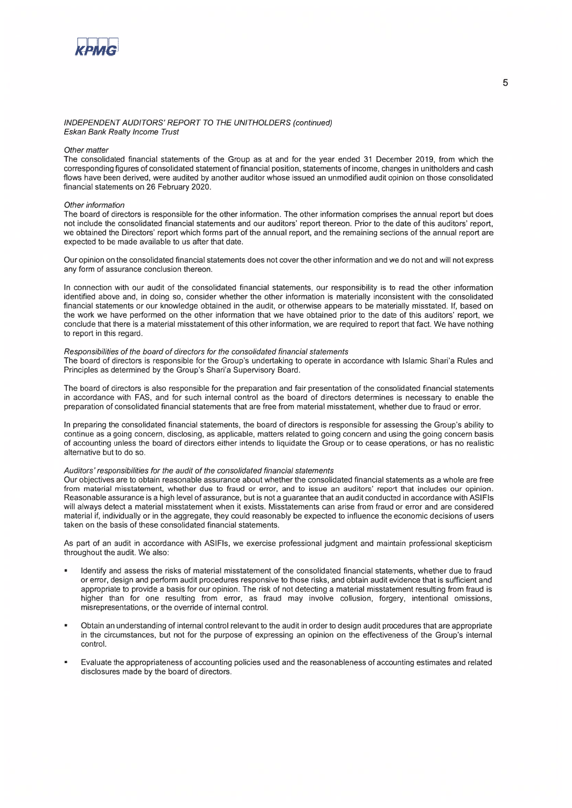

#### INDEPENDENT AUDITORS' REPORT TO THE UNITHOLDERS (continued) Eskan Bank Realty Income Trust

#### Other matter

The consolidated financial statements of the Group as at and for the year ended 31 December 2019, from which the corresponding figures of consolidated statement of financial position, statements of income, changes in unitholders and cash flows have been derived, were audited by another auditor whose issued an unmodified audit opinion on those consolidated financial statements on 26 February 2020.

#### Other information

The board of directors is responsible for the other information. The other information comprises the annual report but does not include the consolidated financial statements and our auditors' report thereon. Prior to the date of this auditors' report, we obtained the Directors' report which forms part of the annual report, and the remaining sections of the annual report are expected to be made available to us after that date.

Our opinion on the consolidated financial statements does not cover the other information and we do not and will not express any form of assurance conclusion thereon.

In connection with our audit of the consolidated financial statements, our responsibility is to read the other information identified above and, in doing so, consider whether the other information is materially inconsistent with the consolidated financial statements or our knowledge obtained in the audit, or otherwise appears to be materially misstated. If, based on the work we have performed on the other information that we have obtained prior to the date of this auditors' report, we conclude that there is a material misstatement of this other information, we are required to report that fact. We have nothing to report in this regard.

#### Responsibilities of the board of directors for the consolidated financial statements

The board of directors is responsible for the Group's undertaking to operate in accordance with Islamic Shari'a Rules and Principles as determined by the Group's Shari'a Supervisory Board.

The board of directors is also responsible for the preparation and fair presentation of the consolidated financial statements in accordance with FAS, and for such internal control as the board of directors determines is necessary to enable the preparation of consolidated financial statements that are free from material misstatement, whether due to fraud or error.

In preparing the consolidated financial statements, the board of directors is responsible for assessing the Group's ability to continue as a going concern, disclosing, as applicable, matters related to going concern and using the going concern basis of accounting unless the board of directors either intends to liquidate the Group or to cease operations, or has no realistic alternative but to do so.

#### Auditors' responsibilities for the audit of the consolidated financial statements

Our objectives are to obtain reasonable assurance about whether the consolidated financial statements as a whole are free from material misstatement, whether due to fraud or error, and to issue an auditors' report that includes our opinion. Reasonable assurance is a high level of assurance, but is not a guarantee that an audit conducted in accordance with ASIFIs will always detect a material misstatement when it exists. Misstatements can arise from fraud or error and are considered material if, individually or in the aggregate, they could reasonably be expected to influence the economic decisions of users taken on the basis of these consolidated financial statements.

As part of an audit in accordance with ASIFIs, we exercise professional judgment and maintain professional skepticism throughout the audit. We also:

- Identify and assess the risks of material misstatement of the consolidated financial statements, whether due to fraud or error, design and perform audit procedures responsive to those risks, and obtain audit evidence that is sufficient and appropriate to provide a basis for our opinion. The risk of not detecting a material misstatement resulting from fraud is higher than for one resulting from error, as fraud may involve collusion, forgery, intentional omissions, misrepresentations, or the override of internal control.
- Obtain an understanding of internal control relevant to the audit in order to design audit procedures that are appropriate in the circumstances, but not for the purpose of expressing an opinion on the effectiveness of the Group's internal control.
- Evaluate the appropriateness of accounting policies used and the reasonableness of accounting estimates and related disclosures made by the board of directors.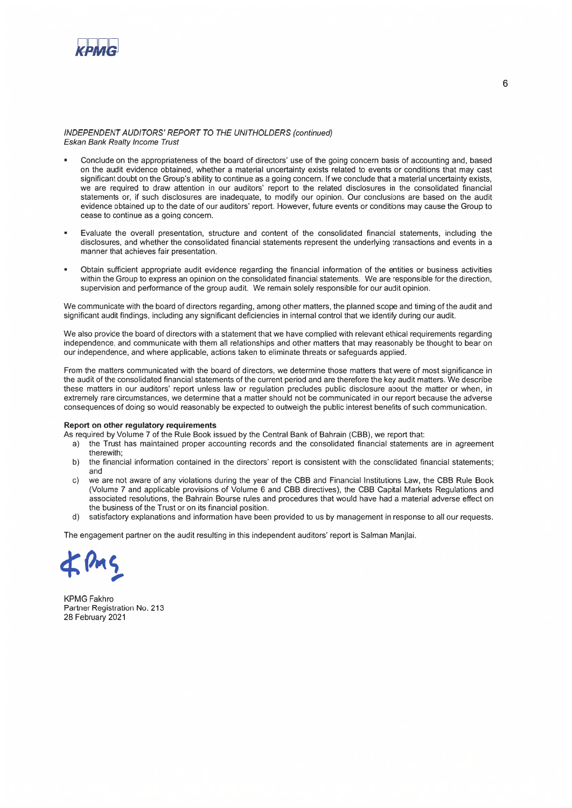

#### INDEPENDENT AUDITORS' REPORT TO THE UNITHOLDERS (continued) Eskan Bank Realty Income Trust

- Conclude on the appropriateness of the board of directors' use of the going concern basis of accounting and, based on the audit evidence obtained, whether a material uncertainty exists related to events or conditions that may cast significant doubt on the Group's ability to continue as a going concern. If we conclude that a material uncertainty exists, we are required to draw attention in our auditors' report to the related disclosures in the consolidated financial statements or, if such disclosures are inadequate, to modify our opinion. Our conclusions are based on the audit evidence obtained up to the date of our auditors' report. However, future events or conditions may cause the Group to cease to continue as a going concern.
- Evaluate the overall presentation, structure and content of the consolidated financial statements, including the disclosures, and whether the consolidated financial statements represent the underlying transactions and events in a manner that achieves fair presentation.
- Obtain sufficient appropriate audit evidence regarding the financial information of the entities or business activities within the Group to express an opinion on the consolidated financial statements. We are responsible for the direction, supervision and performance of the group audit. We remain solely responsible for our audit opinion.

We communicate with the board of directors regarding, among other matters, the planned scope and timing of the audit and significant audit findings, including any significant deficiencies in internal control that we identify during our audit.

We also provide the board of directors with a statement that we have complied with relevant ethical requirements regarding independence, and communicate with them all relationships and other matters that may reasonably be thought to bear on our independence, and where applicable, actions taken to eliminate threats or safeguards applied.

From the matters communicated with the board of directors, we determine those matters that were of most significance in the audit of the consolidated financial statements of the current period and are therefore the key audit matters. We describe these matters in our auditors' report unless law or regulation precludes public disclosure about the matter or when, in extremely rare circumstances, we determine that a matter should not be communicated in our report because the adverse consequences of doing so would reasonably be expected to outweigh the public interest benefits of such communication.

#### Report on other regulatory requirements

As required by Volume 7 of the Rule Book issued by the Central Bank of Bahrain (CBB), we report that:

- a) the Trust has maintained proper accounting records and the consolidated financial statements are in agreement therewith:
- $b)$ the financial information contained in the directors' report is consistent with the consolidated financial statements; and
- we are not aware of any violations during the year of the CBB and Financial Institutions Law, the CBB Rule Book  $\Omega$ (Volume 7 and applicable provisions of Volume 6 and CBB directives), the CBB Capital Markets Regulations and associated resolutions, the Bahrain Bourse rules and procedures that would have had a material adverse effect on the business of the Trust or on its financial position.
- $d)$ satisfactory explanations and information have been provided to us by management in response to all our requests.

The engagement partner on the audit resulting in this independent auditors' report is Salman Manjlai.

**KPMG Fakhro** Partner Registration No. 213 28 February 2021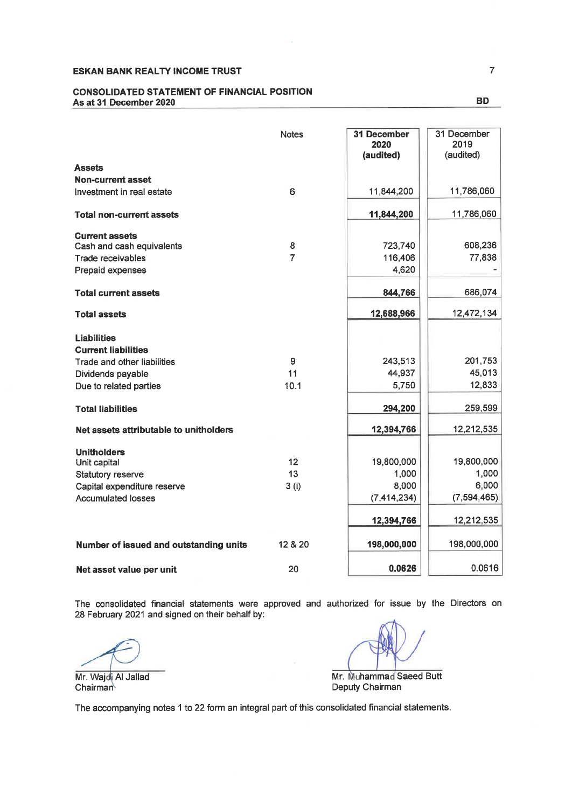## **CONSOLIDATED STATEMENT OF FINANCIAL POSITION** As at 31 December 2020

|                                                  | <b>Notes</b>   | <b>31 December</b><br>2020<br>(audited) | 31 December<br>2019<br>(audited) |
|--------------------------------------------------|----------------|-----------------------------------------|----------------------------------|
| <b>Assets</b>                                    |                |                                         |                                  |
| <b>Non-current asset</b>                         |                |                                         |                                  |
| Investment in real estate                        | 6              | 11,844,200                              | 11,786,060                       |
| <b>Total non-current assets</b>                  |                | 11,844,200                              | 11,786,060                       |
| <b>Current assets</b>                            | 8              | 723,740                                 | 608,236                          |
| Cash and cash equivalents<br>Trade receivables   | $\overline{7}$ | 116,406                                 | 77,838                           |
| Prepaid expenses                                 |                | 4,620                                   |                                  |
|                                                  |                |                                         |                                  |
| <b>Total current assets</b>                      |                | 844,766                                 | 686,074                          |
| <b>Total assets</b>                              |                | 12,688,966                              | 12,472,134                       |
| <b>Liabilities</b><br><b>Current liabilities</b> |                |                                         |                                  |
| Trade and other liabilities                      | 9              | 243,513                                 | 201,753                          |
| Dividends payable                                | 11             | 44,937                                  | 45,013                           |
| Due to related parties                           | 10.1           | 5,750                                   | 12,833                           |
| <b>Total liabilities</b>                         |                | 294,200                                 | 259,599                          |
| Net assets attributable to unitholders           |                | 12,394,766                              | 12,212,535                       |
| <b>Unitholders</b>                               |                |                                         |                                  |
| Unit capital                                     | 12             | 19,800,000                              | 19,800,000                       |
| Statutory reserve                                | 13             | 1,000                                   | 1,000                            |
| Capital expenditure reserve                      | 3(i)           | 8,000                                   | 6,000                            |
| <b>Accumulated losses</b>                        |                | (7, 414, 234)                           | (7, 594, 465)                    |
|                                                  |                | 12,394,766                              | 12,212,535                       |
| Number of issued and outstanding units           | 12 & 20        | 198,000,000                             | 198,000,000                      |
| Net asset value per unit                         | 20             | 0.0626                                  | 0.0616                           |

The consolidated financial statements were approved and authorized for issue by the Directors on 28 February 2021 and signed on their behalf by:

Mr. Wajdi Al Jallad Chairman

Mr. Muhammad Saeed Butt

Deputy Chairman

The accompanying notes 1 to 22 form an integral part of this consolidated financial statements.

**BD**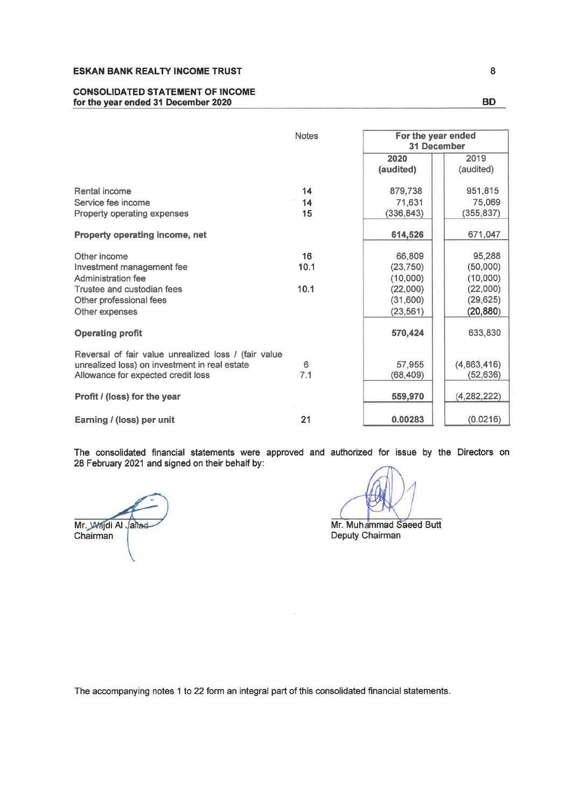#### **CONSOLIDATED STATEMENT OF INCOME** for the year ended 31 December 2020

|                                                                                                                                            | <b>Notes</b>       | For the year ended<br><b>31 December</b>                             |                                                                      |
|--------------------------------------------------------------------------------------------------------------------------------------------|--------------------|----------------------------------------------------------------------|----------------------------------------------------------------------|
|                                                                                                                                            |                    | 2020<br>(audited)                                                    | 2019<br>(audited)                                                    |
| Rental income<br>Service fee income<br>Property operating expenses                                                                         | 14<br>14<br>15     | 879,738<br>71.631<br>(336, 843)                                      | 951,815<br>75,069<br>(355, 837)                                      |
| Property operating income, net                                                                                                             |                    | 614,526                                                              | 671,047                                                              |
| Other income<br>Investment management fee<br>Administration fee<br>Trustee and custodian fees<br>Other professional fees<br>Other expenses | 16<br>10.1<br>10.1 | 66,809<br>(23, 750)<br>(10,000)<br>(22,000)<br>(31,600)<br>(23, 561) | 95,288<br>(50,000)<br>(10,000)<br>(22,000)<br>(29, 625)<br>(20, 880) |
| <b>Operating profit</b><br>Reversal of fair value unrealized loss / (fair value<br>unrealized loss) on investment in real estate           | 6                  | 570,424<br>57,955                                                    | 633,830<br>(4,863,416)                                               |
| Allowance for expected credit loss<br><b>Profit / (loss) for the year</b>                                                                  | 7.1                | (68,409)<br>559,970                                                  | (52, 636)<br>(4, 282, 222)                                           |
| Earning / (loss) per unit                                                                                                                  | 21                 | 0.00283                                                              | (0.0216)                                                             |

The consolidated financial statements were approved and authorized for issue by the Directors on 28 February 2021 and signed on their behalf by:

Mr. Wajdi Al Jallad Chairman

Mr. Muhammad Saeed Butt

Deputy Chairman

The accompanying notes 1 to 22 form an integral part of this consolidated financial statements.

**BD**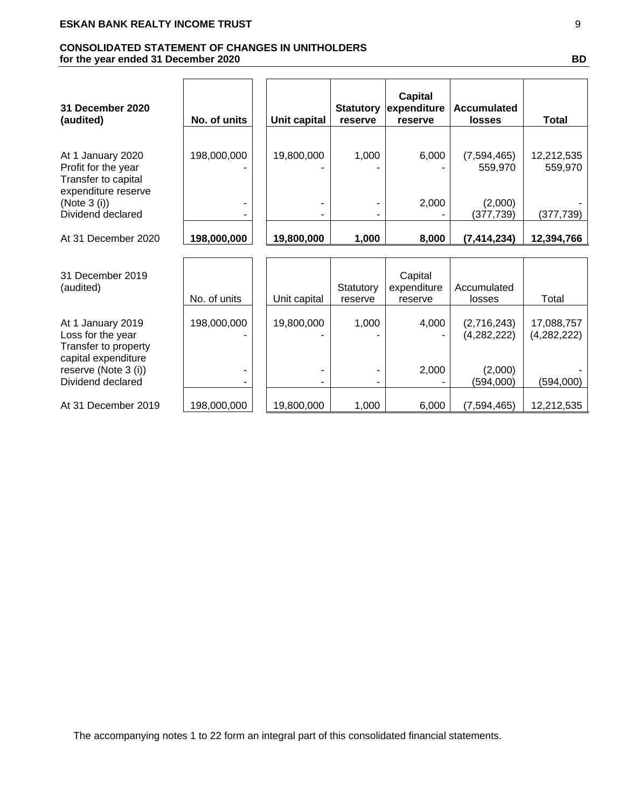# **CONSOLIDATED STATEMENT OF CHANGES IN UNITHOLDERS for the year ended 31 December 2020 BD**

| 31 December 2020<br>(audited)                                                   | No. of units | Unit capital | <b>Statutory</b><br>reserve | <b>Capital</b><br>expenditure<br>reserve | <b>Accumulated</b><br><b>losses</b> | <b>Total</b>              |
|---------------------------------------------------------------------------------|--------------|--------------|-----------------------------|------------------------------------------|-------------------------------------|---------------------------|
| At 1 January 2020<br>Profit for the year                                        | 198,000,000  | 19,800,000   | 1,000                       | 6,000                                    | (7,594,465)<br>559,970              | 12,212,535<br>559,970     |
| Transfer to capital<br>expenditure reserve<br>(Note 3 (i))<br>Dividend declared |              |              |                             | 2,000                                    | (2,000)<br>(377,739)                | (377,739)                 |
|                                                                                 |              |              |                             |                                          |                                     |                           |
| At 31 December 2020                                                             | 198,000,000  | 19,800,000   | 1,000                       | 8,000                                    | (7, 414, 234)                       | 12,394,766                |
|                                                                                 |              |              |                             |                                          |                                     |                           |
| 31 December 2019<br>(audited)                                                   |              |              | Statutory                   | Capital<br>expenditure                   | Accumulated                         |                           |
|                                                                                 | No. of units | Unit capital | reserve                     | reserve                                  | losses                              | Total                     |
| At 1 January 2019<br>Loss for the year<br>Transfer to property                  | 198,000,000  | 19,800,000   | 1,000                       | 4,000                                    | (2,716,243)<br>(4, 282, 222)        | 17,088,757<br>(4,282,222) |
| capital expenditure<br>reserve (Note 3 (i))<br>Dividend declared                |              |              |                             | 2,000                                    | (2,000)<br>(594,000)                | (594,000)                 |
| At 31 December 2019                                                             | 198,000,000  | 19,800,000   | 1,000                       | 6,000                                    | (7,594,465)                         | 12,212,535                |

 $\overline{\phantom{0}}$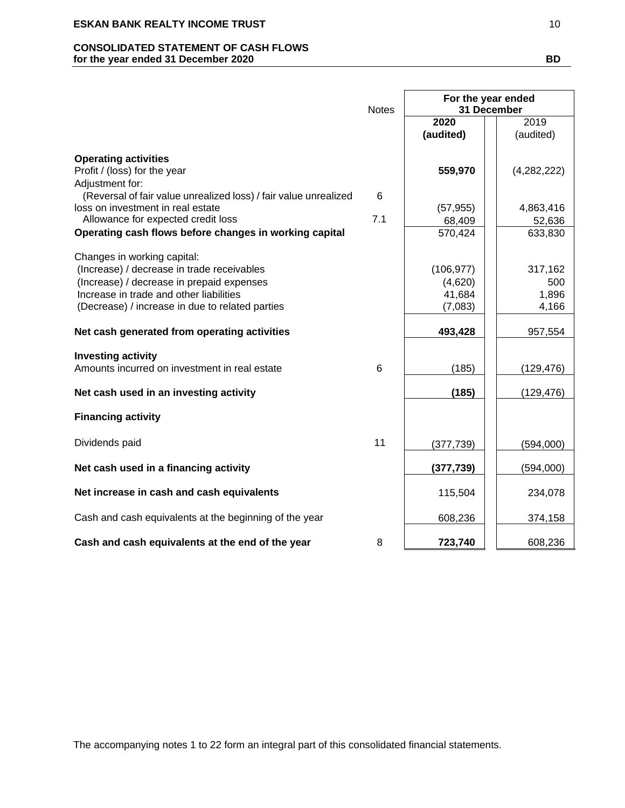# **CONSOLIDATED STATEMENT OF CASH FLOWS for the year ended 31 December 2020 BD**

|                                                                                                       | <b>Notes</b> | For the year ended<br>31 December |             |
|-------------------------------------------------------------------------------------------------------|--------------|-----------------------------------|-------------|
|                                                                                                       |              | 2020                              | 2019        |
|                                                                                                       |              | (audited)                         | (audited)   |
| <b>Operating activities</b><br>Profit / (loss) for the year                                           |              | 559,970                           | (4,282,222) |
| Adjustment for:                                                                                       |              |                                   |             |
| (Reversal of fair value unrealized loss) / fair value unrealized<br>loss on investment in real estate | 6            | (57, 955)                         | 4,863,416   |
| Allowance for expected credit loss                                                                    | 7.1          | 68,409                            | 52,636      |
| Operating cash flows before changes in working capital                                                |              | 570,424                           | 633,830     |
| Changes in working capital:                                                                           |              |                                   |             |
| (Increase) / decrease in trade receivables                                                            |              | (106, 977)                        | 317,162     |
| (Increase) / decrease in prepaid expenses                                                             |              | (4,620)                           | 500         |
| Increase in trade and other liabilities                                                               |              | 41,684                            | 1,896       |
| (Decrease) / increase in due to related parties                                                       |              | (7,083)                           | 4,166       |
| Net cash generated from operating activities                                                          |              | 493,428                           | 957,554     |
| <b>Investing activity</b>                                                                             |              |                                   |             |
| Amounts incurred on investment in real estate                                                         | 6            | (185)                             | (129, 476)  |
| Net cash used in an investing activity                                                                |              | (185)                             | (129, 476)  |
| <b>Financing activity</b>                                                                             |              |                                   |             |
| Dividends paid                                                                                        | 11           | (377, 739)                        | (594,000)   |
| Net cash used in a financing activity                                                                 |              | (377, 739)                        | (594,000)   |
| Net increase in cash and cash equivalents                                                             |              | 115,504                           | 234,078     |
| Cash and cash equivalents at the beginning of the year                                                |              | 608,236                           | 374,158     |
| Cash and cash equivalents at the end of the year                                                      | 8            | 723,740                           | 608,236     |

The accompanying notes 1 to 22 form an integral part of this consolidated financial statements.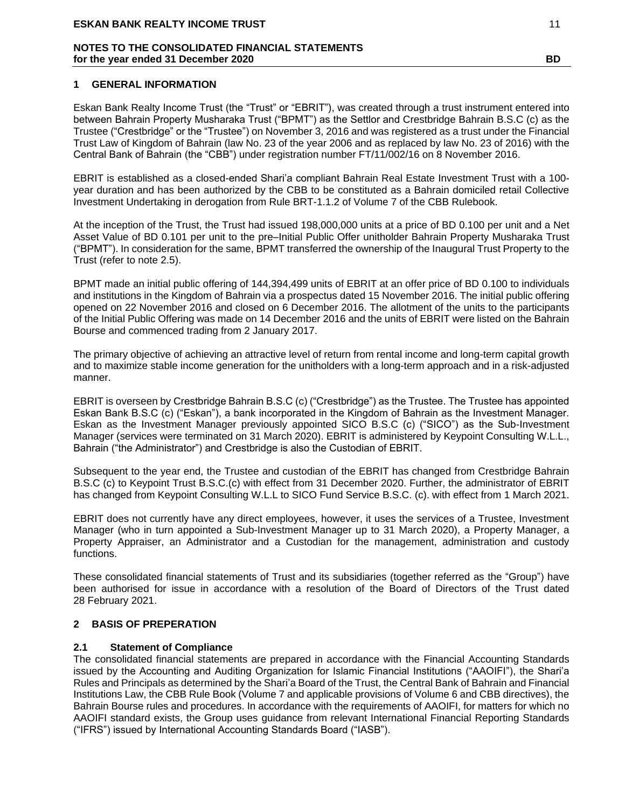#### **NOTES TO THE CONSOLIDATED FINANCIAL STATEMENTS for the year ended 31 December 2020 BD**

# **1 GENERAL INFORMATION**

Eskan Bank Realty Income Trust (the "Trust" or "EBRIT"), was created through a trust instrument entered into between Bahrain Property Musharaka Trust ("BPMT") as the Settlor and Crestbridge Bahrain B.S.C (c) as the Trustee ("Crestbridge" or the "Trustee") on November 3, 2016 and was registered as a trust under the Financial Trust Law of Kingdom of Bahrain (law No. 23 of the year 2006 and as replaced by law No. 23 of 2016) with the Central Bank of Bahrain (the "CBB") under registration number FT/11/002/16 on 8 November 2016.

EBRIT is established as a closed-ended Shari'a compliant Bahrain Real Estate Investment Trust with a 100 year duration and has been authorized by the CBB to be constituted as a Bahrain domiciled retail Collective Investment Undertaking in derogation from Rule BRT-1.1.2 of Volume 7 of the CBB Rulebook.

At the inception of the Trust, the Trust had issued 198,000,000 units at a price of BD 0.100 per unit and a Net Asset Value of BD 0.101 per unit to the pre–Initial Public Offer unitholder Bahrain Property Musharaka Trust ("BPMT"). In consideration for the same, BPMT transferred the ownership of the Inaugural Trust Property to the Trust (refer to note 2.5).

BPMT made an initial public offering of 144,394,499 units of EBRIT at an offer price of BD 0.100 to individuals and institutions in the Kingdom of Bahrain via a prospectus dated 15 November 2016. The initial public offering opened on 22 November 2016 and closed on 6 December 2016. The allotment of the units to the participants of the Initial Public Offering was made on 14 December 2016 and the units of EBRIT were listed on the Bahrain Bourse and commenced trading from 2 January 2017.

The primary objective of achieving an attractive level of return from rental income and long-term capital growth and to maximize stable income generation for the unitholders with a long-term approach and in a risk-adjusted manner.

EBRIT is overseen by Crestbridge Bahrain B.S.C (c) ("Crestbridge") as the Trustee. The Trustee has appointed Eskan Bank B.S.C (c) ("Eskan"), a bank incorporated in the Kingdom of Bahrain as the Investment Manager. Eskan as the Investment Manager previously appointed SICO B.S.C (c) ("SICO") as the Sub-Investment Manager (services were terminated on 31 March 2020). EBRIT is administered by Keypoint Consulting W.L.L., Bahrain ("the Administrator") and Crestbridge is also the Custodian of EBRIT.

Subsequent to the year end, the Trustee and custodian of the EBRIT has changed from Crestbridge Bahrain B.S.C (c) to Keypoint Trust B.S.C.(c) with effect from 31 December 2020. Further, the administrator of EBRIT has changed from Keypoint Consulting W.L.L to SICO Fund Service B.S.C. (c). with effect from 1 March 2021.

EBRIT does not currently have any direct employees, however, it uses the services of a Trustee, Investment Manager (who in turn appointed a Sub-Investment Manager up to 31 March 2020), a Property Manager, a Property Appraiser, an Administrator and a Custodian for the management, administration and custody functions.

These consolidated financial statements of Trust and its subsidiaries (together referred as the "Group") have been authorised for issue in accordance with a resolution of the Board of Directors of the Trust dated 28 February 2021.

## **2 BASIS OF PREPERATION**

## **2.1 Statement of Compliance**

The consolidated financial statements are prepared in accordance with the Financial Accounting Standards issued by the Accounting and Auditing Organization for Islamic Financial Institutions ("AAOIFI"), the Shari'a Rules and Principals as determined by the Shari'a Board of the Trust, the Central Bank of Bahrain and Financial Institutions Law, the CBB Rule Book (Volume 7 and applicable provisions of Volume 6 and CBB directives), the Bahrain Bourse rules and procedures. In accordance with the requirements of AAOIFI, for matters for which no AAOIFI standard exists, the Group uses guidance from relevant International Financial Reporting Standards ("IFRS") issued by International Accounting Standards Board ("IASB").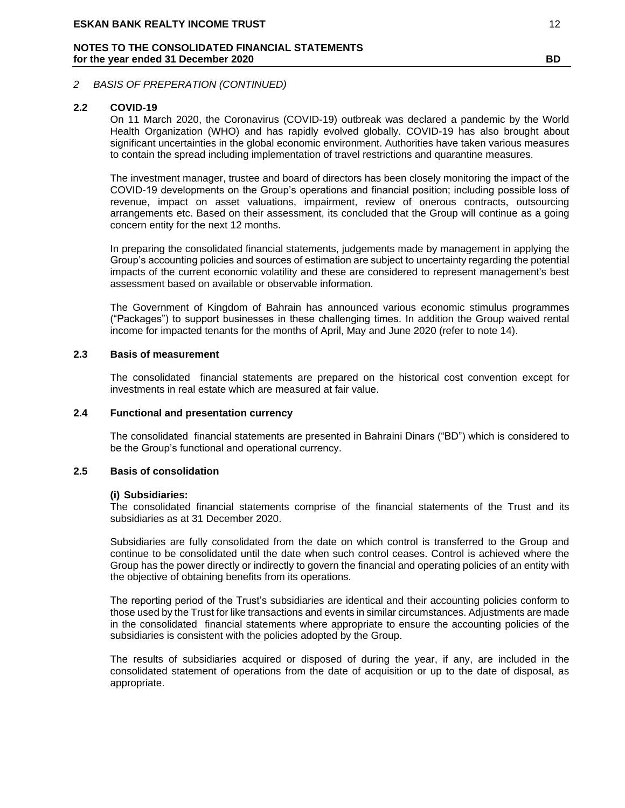#### **NOTES TO THE CONSOLIDATED FINANCIAL STATEMENTS for the year ended 31 December 2020 BD**

### *2 BASIS OF PREPERATION (CONTINUED)*

#### **2.2 COVID-19**

On 11 March 2020, the Coronavirus (COVID-19) outbreak was declared a pandemic by the World Health Organization (WHO) and has rapidly evolved globally. COVID-19 has also brought about significant uncertainties in the global economic environment. Authorities have taken various measures to contain the spread including implementation of travel restrictions and quarantine measures.

The investment manager, trustee and board of directors has been closely monitoring the impact of the COVID-19 developments on the Group's operations and financial position; including possible loss of revenue, impact on asset valuations, impairment, review of onerous contracts, outsourcing arrangements etc. Based on their assessment, its concluded that the Group will continue as a going concern entity for the next 12 months.

In preparing the consolidated financial statements, judgements made by management in applying the Group's accounting policies and sources of estimation are subject to uncertainty regarding the potential impacts of the current economic volatility and these are considered to represent management's best assessment based on available or observable information.

The Government of Kingdom of Bahrain has announced various economic stimulus programmes ("Packages") to support businesses in these challenging times. In addition the Group waived rental income for impacted tenants for the months of April, May and June 2020 (refer to note 14).

#### **2.3 Basis of measurement**

The consolidated financial statements are prepared on the historical cost convention except for investments in real estate which are measured at fair value.

# **2.4 Functional and presentation currency**

The consolidated financial statements are presented in Bahraini Dinars ("BD") which is considered to be the Group's functional and operational currency.

#### **2.5 Basis of consolidation**

#### **(i) Subsidiaries:**

The consolidated financial statements comprise of the financial statements of the Trust and its subsidiaries as at 31 December 2020.

Subsidiaries are fully consolidated from the date on which control is transferred to the Group and continue to be consolidated until the date when such control ceases. Control is achieved where the Group has the power directly or indirectly to govern the financial and operating policies of an entity with the objective of obtaining benefits from its operations.

The reporting period of the Trust's subsidiaries are identical and their accounting policies conform to those used by the Trust for like transactions and events in similar circumstances. Adjustments are made in the consolidated financial statements where appropriate to ensure the accounting policies of the subsidiaries is consistent with the policies adopted by the Group.

The results of subsidiaries acquired or disposed of during the year, if any, are included in the consolidated statement of operations from the date of acquisition or up to the date of disposal, as appropriate.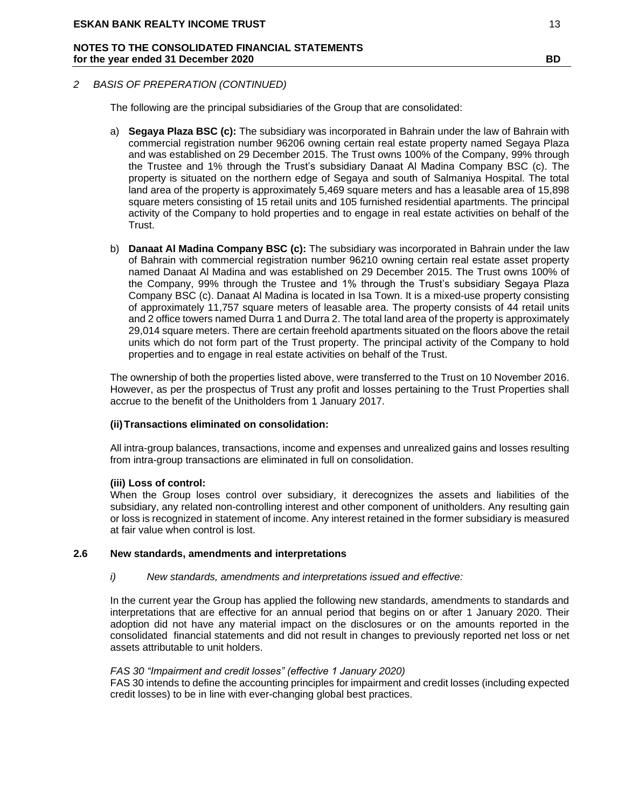#### **NOTES TO THE CONSOLIDATED FINANCIAL STATEMENTS for the year ended 31 December 2020 BD**

## *2 BASIS OF PREPERATION (CONTINUED)*

The following are the principal subsidiaries of the Group that are consolidated:

- a) **Segaya Plaza BSC (c):** The subsidiary was incorporated in Bahrain under the law of Bahrain with commercial registration number 96206 owning certain real estate property named Segaya Plaza and was established on 29 December 2015. The Trust owns 100% of the Company, 99% through the Trustee and 1% through the Trust's subsidiary Danaat Al Madina Company BSC (c). The property is situated on the northern edge of Segaya and south of Salmaniya Hospital. The total land area of the property is approximately 5,469 square meters and has a leasable area of 15,898 square meters consisting of 15 retail units and 105 furnished residential apartments. The principal activity of the Company to hold properties and to engage in real estate activities on behalf of the Trust.
- b) **Danaat Al Madina Company BSC (c):** The subsidiary was incorporated in Bahrain under the law of Bahrain with commercial registration number 96210 owning certain real estate asset property named Danaat Al Madina and was established on 29 December 2015. The Trust owns 100% of the Company, 99% through the Trustee and 1% through the Trust's subsidiary Segaya Plaza Company BSC (c). Danaat Al Madina is located in Isa Town. It is a mixed-use property consisting of approximately 11,757 square meters of leasable area. The property consists of 44 retail units and 2 office towers named Durra 1 and Durra 2. The total land area of the property is approximately 29,014 square meters. There are certain freehold apartments situated on the floors above the retail units which do not form part of the Trust property. The principal activity of the Company to hold properties and to engage in real estate activities on behalf of the Trust.

The ownership of both the properties listed above, were transferred to the Trust on 10 November 2016. However, as per the prospectus of Trust any profit and losses pertaining to the Trust Properties shall accrue to the benefit of the Unitholders from 1 January 2017.

## **(ii)Transactions eliminated on consolidation:**

All intra-group balances, transactions, income and expenses and unrealized gains and losses resulting from intra-group transactions are eliminated in full on consolidation.

## **(iii) Loss of control:**

When the Group loses control over subsidiary, it derecognizes the assets and liabilities of the subsidiary, any related non-controlling interest and other component of unitholders. Any resulting gain or loss is recognized in statement of income. Any interest retained in the former subsidiary is measured at fair value when control is lost.

# **2.6 New standards, amendments and interpretations**

#### *i) New standards, amendments and interpretations issued and effective:*

In the current year the Group has applied the following new standards, amendments to standards and interpretations that are effective for an annual period that begins on or after 1 January 2020. Their adoption did not have any material impact on the disclosures or on the amounts reported in the consolidated financial statements and did not result in changes to previously reported net loss or net assets attributable to unit holders.

#### *FAS 30 "Impairment and credit losses" (effective 1 January 2020)*

FAS 30 intends to define the accounting principles for impairment and credit losses (including expected credit losses) to be in line with ever-changing global best practices.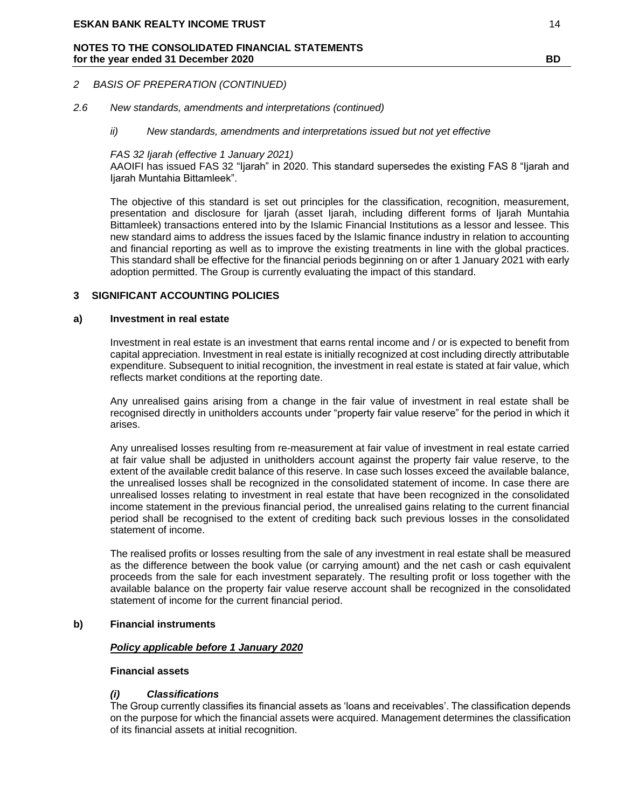### **NOTES TO THE CONSOLIDATED FINANCIAL STATEMENTS for the year ended 31 December 2020 BD**

#### *2 BASIS OF PREPERATION (CONTINUED)*

### *2.6 New standards, amendments and interpretations (continued)*

#### *ii) New standards, amendments and interpretations issued but not yet effective*

#### *FAS 32 Ijarah (effective 1 January 2021)*

AAOIFI has issued FAS 32 "Ijarah" in 2020. This standard supersedes the existing FAS 8 "Ijarah and Ijarah Muntahia Bittamleek".

The objective of this standard is set out principles for the classification, recognition, measurement, presentation and disclosure for Ijarah (asset Ijarah, including different forms of Ijarah Muntahia Bittamleek) transactions entered into by the Islamic Financial Institutions as a lessor and lessee. This new standard aims to address the issues faced by the Islamic finance industry in relation to accounting and financial reporting as well as to improve the existing treatments in line with the global practices. This standard shall be effective for the financial periods beginning on or after 1 January 2021 with early adoption permitted. The Group is currently evaluating the impact of this standard.

#### **3 SIGNIFICANT ACCOUNTING POLICIES**

#### **a) Investment in real estate**

Investment in real estate is an investment that earns rental income and / or is expected to benefit from capital appreciation. Investment in real estate is initially recognized at cost including directly attributable expenditure. Subsequent to initial recognition, the investment in real estate is stated at fair value, which reflects market conditions at the reporting date.

Any unrealised gains arising from a change in the fair value of investment in real estate shall be recognised directly in unitholders accounts under "property fair value reserve" for the period in which it arises.

Any unrealised losses resulting from re-measurement at fair value of investment in real estate carried at fair value shall be adjusted in unitholders account against the property fair value reserve, to the extent of the available credit balance of this reserve. In case such losses exceed the available balance, the unrealised losses shall be recognized in the consolidated statement of income. In case there are unrealised losses relating to investment in real estate that have been recognized in the consolidated income statement in the previous financial period, the unrealised gains relating to the current financial period shall be recognised to the extent of crediting back such previous losses in the consolidated statement of income.

The realised profits or losses resulting from the sale of any investment in real estate shall be measured as the difference between the book value (or carrying amount) and the net cash or cash equivalent proceeds from the sale for each investment separately. The resulting profit or loss together with the available balance on the property fair value reserve account shall be recognized in the consolidated statement of income for the current financial period.

#### **b) Financial instruments**

#### *Policy applicable before 1 January 2020*

#### **Financial assets**

#### *(i) Classifications*

The Group currently classifies its financial assets as 'loans and receivables'. The classification depends on the purpose for which the financial assets were acquired. Management determines the classification of its financial assets at initial recognition.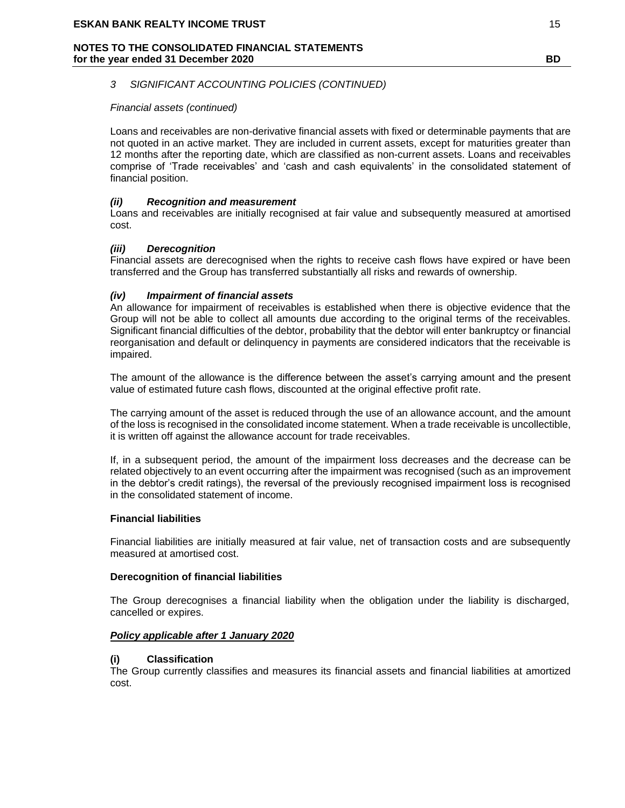#### **NOTES TO THE CONSOLIDATED FINANCIAL STATEMENTS for the year ended 31 December 2020 BD**

### *3 SIGNIFICANT ACCOUNTING POLICIES (CONTINUED)*

#### *Financial assets (continued)*

Loans and receivables are non-derivative financial assets with fixed or determinable payments that are not quoted in an active market. They are included in current assets, except for maturities greater than 12 months after the reporting date, which are classified as non-current assets. Loans and receivables comprise of 'Trade receivables' and 'cash and cash equivalents' in the consolidated statement of financial position.

#### *(ii) Recognition and measurement*

Loans and receivables are initially recognised at fair value and subsequently measured at amortised cost.

#### *(iii) Derecognition*

Financial assets are derecognised when the rights to receive cash flows have expired or have been transferred and the Group has transferred substantially all risks and rewards of ownership.

#### *(iv) Impairment of financial assets*

An allowance for impairment of receivables is established when there is objective evidence that the Group will not be able to collect all amounts due according to the original terms of the receivables. Significant financial difficulties of the debtor, probability that the debtor will enter bankruptcy or financial reorganisation and default or delinquency in payments are considered indicators that the receivable is impaired.

The amount of the allowance is the difference between the asset's carrying amount and the present value of estimated future cash flows, discounted at the original effective profit rate.

The carrying amount of the asset is reduced through the use of an allowance account, and the amount of the loss is recognised in the consolidated income statement. When a trade receivable is uncollectible, it is written off against the allowance account for trade receivables.

If, in a subsequent period, the amount of the impairment loss decreases and the decrease can be related objectively to an event occurring after the impairment was recognised (such as an improvement in the debtor's credit ratings), the reversal of the previously recognised impairment loss is recognised in the consolidated statement of income.

#### **Financial liabilities**

Financial liabilities are initially measured at fair value, net of transaction costs and are subsequently measured at amortised cost.

#### **Derecognition of financial liabilities**

The Group derecognises a financial liability when the obligation under the liability is discharged, cancelled or expires.

# *Policy applicable after 1 January 2020*

#### **(i) Classification**

The Group currently classifies and measures its financial assets and financial liabilities at amortized cost.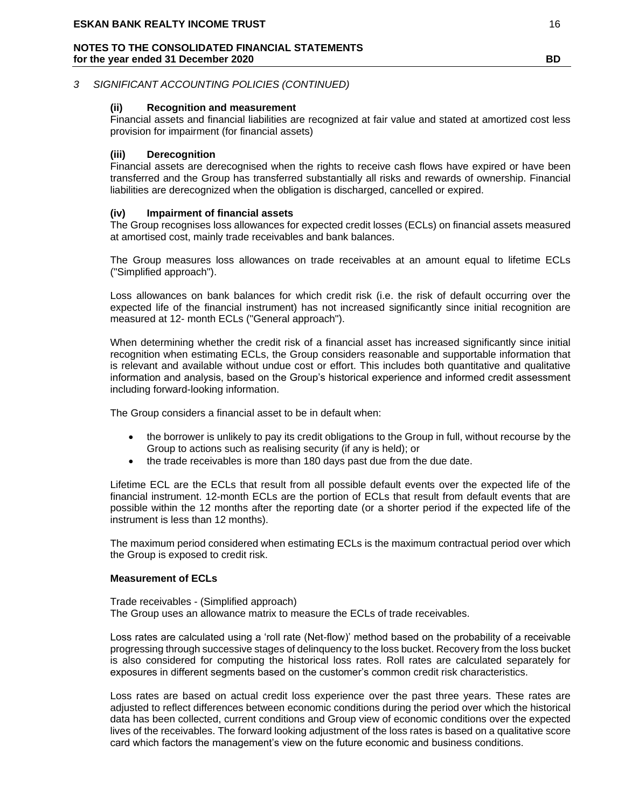# *3 SIGNIFICANT ACCOUNTING POLICIES (CONTINUED)*

# **(ii) Recognition and measurement**

Financial assets and financial liabilities are recognized at fair value and stated at amortized cost less provision for impairment (for financial assets)

# **(iii) Derecognition**

Financial assets are derecognised when the rights to receive cash flows have expired or have been transferred and the Group has transferred substantially all risks and rewards of ownership. Financial liabilities are derecognized when the obligation is discharged, cancelled or expired.

# **(iv) Impairment of financial assets**

The Group recognises loss allowances for expected credit losses (ECLs) on financial assets measured at amortised cost, mainly trade receivables and bank balances.

The Group measures loss allowances on trade receivables at an amount equal to lifetime ECLs ("Simplified approach").

Loss allowances on bank balances for which credit risk (i.e. the risk of default occurring over the expected life of the financial instrument) has not increased significantly since initial recognition are measured at 12- month ECLs ("General approach").

When determining whether the credit risk of a financial asset has increased significantly since initial recognition when estimating ECLs, the Group considers reasonable and supportable information that is relevant and available without undue cost or effort. This includes both quantitative and qualitative information and analysis, based on the Group's historical experience and informed credit assessment including forward-looking information.

The Group considers a financial asset to be in default when:

- the borrower is unlikely to pay its credit obligations to the Group in full, without recourse by the Group to actions such as realising security (if any is held); or
- the trade receivables is more than 180 days past due from the due date.

Lifetime ECL are the ECLs that result from all possible default events over the expected life of the financial instrument. 12-month ECLs are the portion of ECLs that result from default events that are possible within the 12 months after the reporting date (or a shorter period if the expected life of the instrument is less than 12 months).

The maximum period considered when estimating ECLs is the maximum contractual period over which the Group is exposed to credit risk.

# **Measurement of ECLs**

Trade receivables - (Simplified approach) The Group uses an allowance matrix to measure the ECLs of trade receivables.

Loss rates are calculated using a 'roll rate (Net-flow)' method based on the probability of a receivable progressing through successive stages of delinquency to the loss bucket. Recovery from the loss bucket is also considered for computing the historical loss rates. Roll rates are calculated separately for exposures in different segments based on the customer's common credit risk characteristics.

Loss rates are based on actual credit loss experience over the past three years. These rates are adjusted to reflect differences between economic conditions during the period over which the historical data has been collected, current conditions and Group view of economic conditions over the expected lives of the receivables. The forward looking adjustment of the loss rates is based on a qualitative score card which factors the management's view on the future economic and business conditions.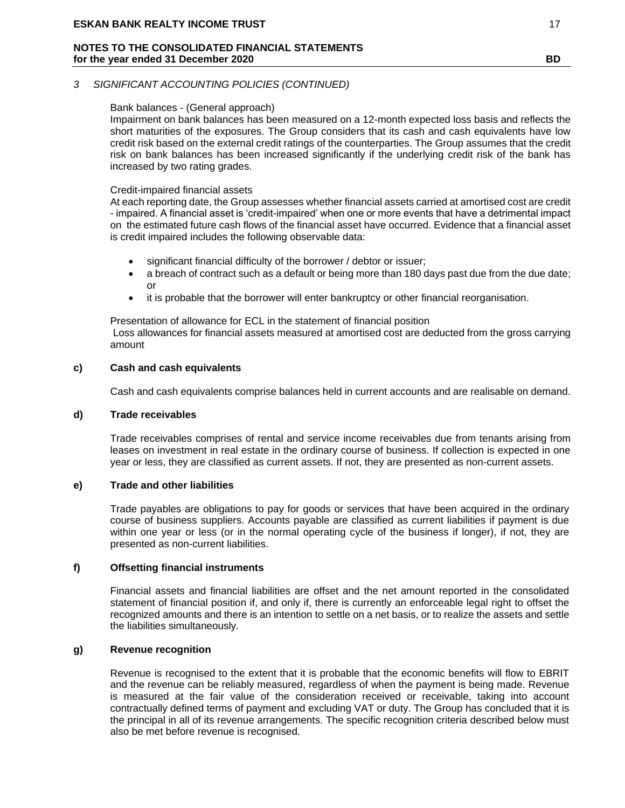#### **NOTES TO THE CONSOLIDATED FINANCIAL STATEMENTS for the year ended 31 December 2020 BD**

#### *3 SIGNIFICANT ACCOUNTING POLICIES (CONTINUED)*

#### Bank balances - (General approach)

Impairment on bank balances has been measured on a 12-month expected loss basis and reflects the short maturities of the exposures. The Group considers that its cash and cash equivalents have low credit risk based on the external credit ratings of the counterparties. The Group assumes that the credit risk on bank balances has been increased significantly if the underlying credit risk of the bank has increased by two rating grades.

#### Credit-impaired financial assets

At each reporting date, the Group assesses whether financial assets carried at amortised cost are credit - impaired. A financial asset is 'credit-impaired' when one or more events that have a detrimental impact on the estimated future cash flows of the financial asset have occurred. Evidence that a financial asset is credit impaired includes the following observable data:

- significant financial difficulty of the borrower / debtor or issuer;
- a breach of contract such as a default or being more than 180 days past due from the due date; or
- it is probable that the borrower will enter bankruptcy or other financial reorganisation.

Presentation of allowance for ECL in the statement of financial position Loss allowances for financial assets measured at amortised cost are deducted from the gross carrying amount

#### **c) Cash and cash equivalents**

Cash and cash equivalents comprise balances held in current accounts and are realisable on demand.

#### **d) Trade receivables**

Trade receivables comprises of rental and service income receivables due from tenants arising from leases on investment in real estate in the ordinary course of business. If collection is expected in one year or less, they are classified as current assets. If not, they are presented as non-current assets.

#### **e) Trade and other liabilities**

Trade payables are obligations to pay for goods or services that have been acquired in the ordinary course of business suppliers. Accounts payable are classified as current liabilities if payment is due within one year or less (or in the normal operating cycle of the business if longer), if not, they are presented as non-current liabilities.

#### **f) Offsetting financial instruments**

Financial assets and financial liabilities are offset and the net amount reported in the consolidated statement of financial position if, and only if, there is currently an enforceable legal right to offset the recognized amounts and there is an intention to settle on a net basis, or to realize the assets and settle the liabilities simultaneously.

#### **g) Revenue recognition**

Revenue is recognised to the extent that it is probable that the economic benefits will flow to EBRIT and the revenue can be reliably measured, regardless of when the payment is being made. Revenue is measured at the fair value of the consideration received or receivable, taking into account contractually defined terms of payment and excluding VAT or duty. The Group has concluded that it is the principal in all of its revenue arrangements. The specific recognition criteria described below must also be met before revenue is recognised.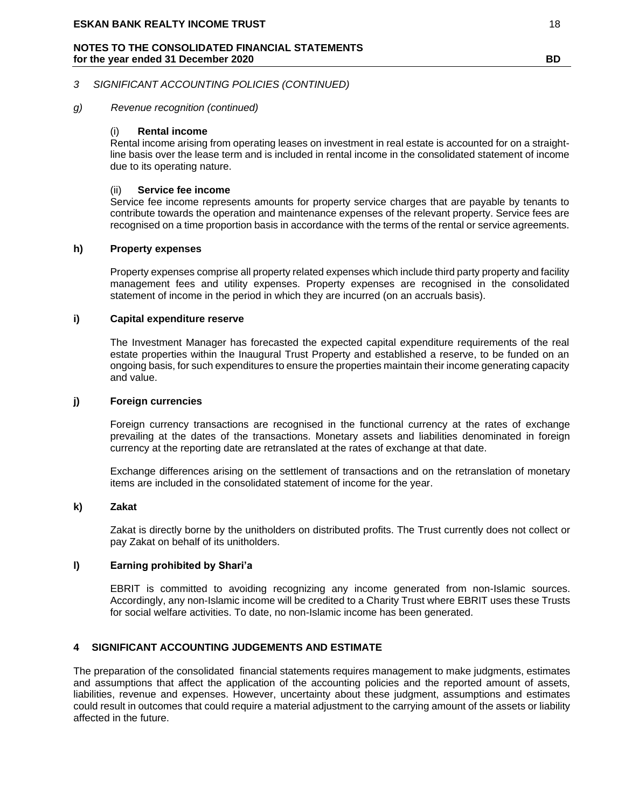#### **NOTES TO THE CONSOLIDATED FINANCIAL STATEMENTS for the year ended 31 December 2020 BD**

# *3 SIGNIFICANT ACCOUNTING POLICIES (CONTINUED)*

#### *g) Revenue recognition (continued)*

#### (i) **Rental income**

Rental income arising from operating leases on investment in real estate is accounted for on a straightline basis over the lease term and is included in rental income in the consolidated statement of income due to its operating nature.

#### (ii) **Service fee income**

Service fee income represents amounts for property service charges that are payable by tenants to contribute towards the operation and maintenance expenses of the relevant property. Service fees are recognised on a time proportion basis in accordance with the terms of the rental or service agreements.

#### **h) Property expenses**

Property expenses comprise all property related expenses which include third party property and facility management fees and utility expenses. Property expenses are recognised in the consolidated statement of income in the period in which they are incurred (on an accruals basis).

#### **i) Capital expenditure reserve**

The Investment Manager has forecasted the expected capital expenditure requirements of the real estate properties within the Inaugural Trust Property and established a reserve, to be funded on an ongoing basis, for such expenditures to ensure the properties maintain their income generating capacity and value.

#### **j) Foreign currencies**

Foreign currency transactions are recognised in the functional currency at the rates of exchange prevailing at the dates of the transactions. Monetary assets and liabilities denominated in foreign currency at the reporting date are retranslated at the rates of exchange at that date.

Exchange differences arising on the settlement of transactions and on the retranslation of monetary items are included in the consolidated statement of income for the year.

#### **k) Zakat**

Zakat is directly borne by the unitholders on distributed profits. The Trust currently does not collect or pay Zakat on behalf of its unitholders.

## **l) Earning prohibited by Shari'a**

EBRIT is committed to avoiding recognizing any income generated from non-Islamic sources. Accordingly, any non-Islamic income will be credited to a Charity Trust where EBRIT uses these Trusts for social welfare activities. To date, no non-Islamic income has been generated.

# **4 SIGNIFICANT ACCOUNTING JUDGEMENTS AND ESTIMATE**

The preparation of the consolidated financial statements requires management to make judgments, estimates and assumptions that affect the application of the accounting policies and the reported amount of assets, liabilities, revenue and expenses. However, uncertainty about these judgment, assumptions and estimates could result in outcomes that could require a material adjustment to the carrying amount of the assets or liability affected in the future.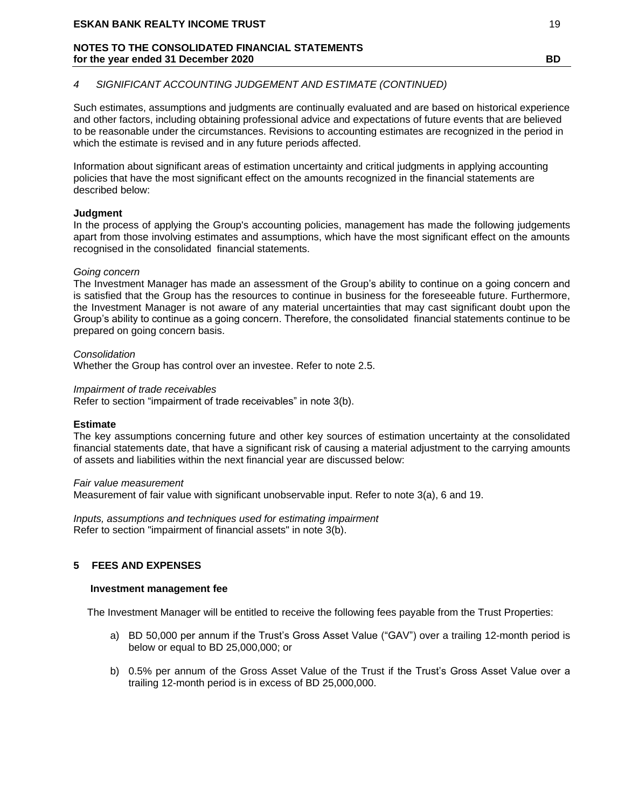#### **NOTES TO THE CONSOLIDATED FINANCIAL STATEMENTS for the year ended 31 December 2020 BD**

# *4 SIGNIFICANT ACCOUNTING JUDGEMENT AND ESTIMATE (CONTINUED)*

Such estimates, assumptions and judgments are continually evaluated and are based on historical experience and other factors, including obtaining professional advice and expectations of future events that are believed to be reasonable under the circumstances. Revisions to accounting estimates are recognized in the period in which the estimate is revised and in any future periods affected.

Information about significant areas of estimation uncertainty and critical judgments in applying accounting policies that have the most significant effect on the amounts recognized in the financial statements are described below:

#### **Judgment**

In the process of applying the Group's accounting policies, management has made the following judgements apart from those involving estimates and assumptions, which have the most significant effect on the amounts recognised in the consolidated financial statements.

#### *Going concern*

The Investment Manager has made an assessment of the Group's ability to continue on a going concern and is satisfied that the Group has the resources to continue in business for the foreseeable future. Furthermore, the Investment Manager is not aware of any material uncertainties that may cast significant doubt upon the Group's ability to continue as a going concern. Therefore, the consolidated financial statements continue to be prepared on going concern basis.

#### *Consolidation*

Whether the Group has control over an investee. Refer to note 2.5.

#### *Impairment of trade receivables*

Refer to section "impairment of trade receivables" in note 3(b).

#### **Estimate**

The key assumptions concerning future and other key sources of estimation uncertainty at the consolidated financial statements date, that have a significant risk of causing a material adjustment to the carrying amounts of assets and liabilities within the next financial year are discussed below:

#### *Fair value measurement*

Measurement of fair value with significant unobservable input. Refer to note 3(a), 6 and 19.

*Inputs, assumptions and techniques used for estimating impairment*  Refer to section "impairment of financial assets" in note 3(b).

# **5 FEES AND EXPENSES**

#### **Investment management fee**

The Investment Manager will be entitled to receive the following fees payable from the Trust Properties:

- a) BD 50,000 per annum if the Trust's Gross Asset Value ("GAV") over a trailing 12-month period is below or equal to BD 25,000,000; or
- b) 0.5% per annum of the Gross Asset Value of the Trust if the Trust's Gross Asset Value over a trailing 12-month period is in excess of BD 25,000,000.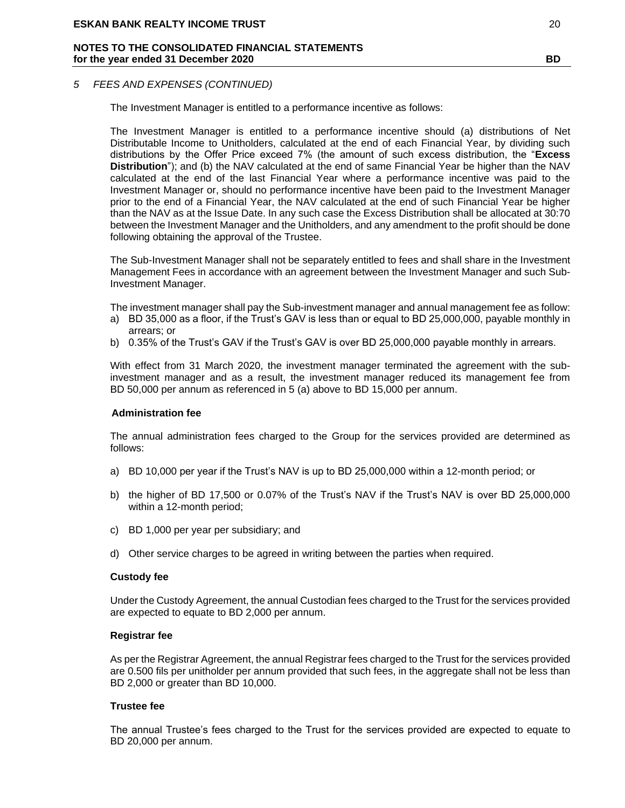#### **NOTES TO THE CONSOLIDATED FINANCIAL STATEMENTS for the year ended 31 December 2020 BD**

# *5 FEES AND EXPENSES (CONTINUED)*

The Investment Manager is entitled to a performance incentive as follows:

The Investment Manager is entitled to a performance incentive should (a) distributions of Net Distributable Income to Unitholders, calculated at the end of each Financial Year, by dividing such distributions by the Offer Price exceed 7% (the amount of such excess distribution, the "**Excess Distribution**"); and (b) the NAV calculated at the end of same Financial Year be higher than the NAV calculated at the end of the last Financial Year where a performance incentive was paid to the Investment Manager or, should no performance incentive have been paid to the Investment Manager prior to the end of a Financial Year, the NAV calculated at the end of such Financial Year be higher than the NAV as at the Issue Date. In any such case the Excess Distribution shall be allocated at 30:70 between the Investment Manager and the Unitholders, and any amendment to the profit should be done following obtaining the approval of the Trustee.

The Sub-Investment Manager shall not be separately entitled to fees and shall share in the Investment Management Fees in accordance with an agreement between the Investment Manager and such Sub-Investment Manager.

The investment manager shall pay the Sub-investment manager and annual management fee as follow:

- a) BD 35,000 as a floor, if the Trust's GAV is less than or equal to BD 25,000,000, payable monthly in arrears; or
- b) 0.35% of the Trust's GAV if the Trust's GAV is over BD 25,000,000 payable monthly in arrears.

With effect from 31 March 2020, the investment manager terminated the agreement with the subinvestment manager and as a result, the investment manager reduced its management fee from BD 50,000 per annum as referenced in 5 (a) above to BD 15,000 per annum.

# **Administration fee**

The annual administration fees charged to the Group for the services provided are determined as follows:

- a) BD 10,000 per year if the Trust's NAV is up to BD 25,000,000 within a 12-month period; or
- b) the higher of BD 17,500 or 0.07% of the Trust's NAV if the Trust's NAV is over BD 25,000,000 within a 12-month period;
- c) BD 1,000 per year per subsidiary; and
- d) Other service charges to be agreed in writing between the parties when required.

# **Custody fee**

Under the Custody Agreement, the annual Custodian fees charged to the Trust for the services provided are expected to equate to BD 2,000 per annum.

# **Registrar fee**

As per the Registrar Agreement, the annual Registrar fees charged to the Trust for the services provided are 0.500 fils per unitholder per annum provided that such fees, in the aggregate shall not be less than BD 2,000 or greater than BD 10,000.

# **Trustee fee**

The annual Trustee's fees charged to the Trust for the services provided are expected to equate to BD 20,000 per annum.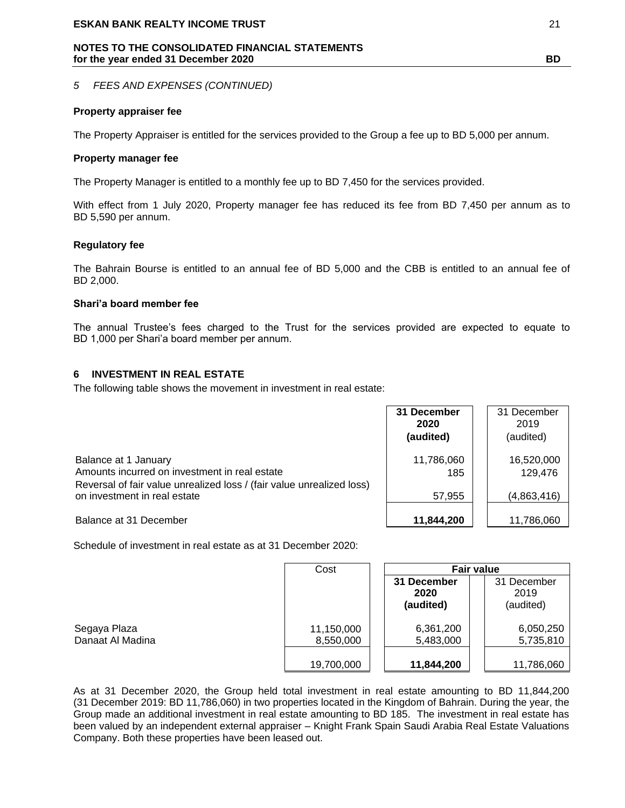#### **NOTES TO THE CONSOLIDATED FINANCIAL STATEMENTS for the year ended 31 December 2020 BD**

#### *5 FEES AND EXPENSES (CONTINUED)*

#### **Property appraiser fee**

The Property Appraiser is entitled for the services provided to the Group a fee up to BD 5,000 per annum.

#### **Property manager fee**

The Property Manager is entitled to a monthly fee up to BD 7,450 for the services provided.

With effect from 1 July 2020, Property manager fee has reduced its fee from BD 7,450 per annum as to BD 5,590 per annum.

#### **Regulatory fee**

The Bahrain Bourse is entitled to an annual fee of BD 5,000 and the CBB is entitled to an annual fee of BD 2,000.

#### **Shari'a board member fee**

The annual Trustee's fees charged to the Trust for the services provided are expected to equate to BD 1,000 per Shari'a board member per annum.

#### **6 INVESTMENT IN REAL ESTATE**

The following table shows the movement in investment in real estate:

|                                                                                                                                                | 31 December<br>2020<br>(audited) | 31 December<br>2019<br>(audited) |
|------------------------------------------------------------------------------------------------------------------------------------------------|----------------------------------|----------------------------------|
| Balance at 1 January<br>Amounts incurred on investment in real estate<br>Reversal of fair value unrealized loss / (fair value unrealized loss) | 11,786,060<br>185                | 16,520,000<br>129,476            |
| on investment in real estate                                                                                                                   | 57,955                           | (4,863,416)                      |
| Balance at 31 December                                                                                                                         | 11,844,200                       | 11,786,060                       |

Schedule of investment in real estate as at 31 December 2020:

|                                  | Cost                    | <b>Fair value</b>                |                                  |
|----------------------------------|-------------------------|----------------------------------|----------------------------------|
|                                  |                         | 31 December<br>2020<br>(audited) | 31 December<br>2019<br>(audited) |
| Segaya Plaza<br>Danaat Al Madina | 11,150,000<br>8,550,000 | 6,361,200<br>5,483,000           | 6,050,250<br>5,735,810           |
|                                  | 19,700,000              | 11,844,200                       | 11,786,060                       |

As at 31 December 2020, the Group held total investment in real estate amounting to BD 11,844,200 (31 December 2019: BD 11,786,060) in two properties located in the Kingdom of Bahrain. During the year, the Group made an additional investment in real estate amounting to BD 185. The investment in real estate has been valued by an independent external appraiser – Knight Frank Spain Saudi Arabia Real Estate Valuations Company. Both these properties have been leased out.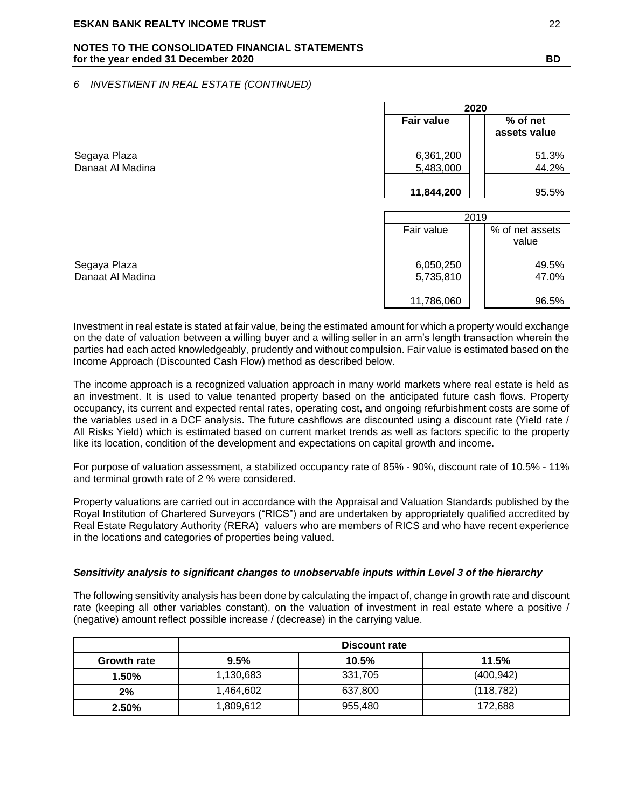#### **NOTES TO THE CONSOLIDATED FINANCIAL STATEMENTS for the year ended 31 December 2020 BD**

#### *6 INVESTMENT IN REAL ESTATE (CONTINUED)*

| Segaya Plaza     |  |
|------------------|--|
| Danaat Al Madina |  |

|                                  |                        | 2020                     |  |  |
|----------------------------------|------------------------|--------------------------|--|--|
|                                  | <b>Fair value</b>      | % of net<br>assets value |  |  |
| Segaya Plaza<br>Danaat Al Madina | 6,361,200<br>5,483,000 | 51.3%<br>44.2%           |  |  |
|                                  | 11,844,200             | 95.5%                    |  |  |

| 2019       |                          |  |  |
|------------|--------------------------|--|--|
| Fair value | % of net assets<br>value |  |  |
| 6,050,250  | 49.5%                    |  |  |
| 5,735,810  | 47.0%                    |  |  |
| 11,786,060 | 96.5%                    |  |  |

Segaya Plaza Danaat Al Madina

Investment in real estate is stated at fair value, being the estimated amount for which a property would exchange on the date of valuation between a willing buyer and a willing seller in an arm's length transaction wherein the parties had each acted knowledgeably, prudently and without compulsion. Fair value is estimated based on the Income Approach (Discounted Cash Flow) method as described below.

The income approach is a recognized valuation approach in many world markets where real estate is held as an investment. It is used to value tenanted property based on the anticipated future cash flows. Property occupancy, its current and expected rental rates, operating cost, and ongoing refurbishment costs are some of the variables used in a DCF analysis. The future cashflows are discounted using a discount rate (Yield rate / All Risks Yield) which is estimated based on current market trends as well as factors specific to the property like its location, condition of the development and expectations on capital growth and income.

For purpose of valuation assessment, a stabilized occupancy rate of 85% - 90%, discount rate of 10.5% - 11% and terminal growth rate of 2 % were considered.

Property valuations are carried out in accordance with the Appraisal and Valuation Standards published by the Royal Institution of Chartered Surveyors ("RICS") and are undertaken by appropriately qualified accredited by Real Estate Regulatory Authority (RERA) valuers who are members of RICS and who have recent experience in the locations and categories of properties being valued.

## *Sensitivity analysis to significant changes to unobservable inputs within Level 3 of the hierarchy*

The following sensitivity analysis has been done by calculating the impact of, change in growth rate and discount rate (keeping all other variables constant), on the valuation of investment in real estate where a positive / (negative) amount reflect possible increase / (decrease) in the carrying value.

|                    | <b>Discount rate</b> |         |            |
|--------------------|----------------------|---------|------------|
| <b>Growth rate</b> | 9.5%                 | 10.5%   | 11.5%      |
| 1.50%              | 1,130,683            | 331,705 | (400, 942) |
| 2%                 | 1,464,602            | 637,800 | (118, 782) |
| 2.50%              | 1,809,612            | 955,480 | 172,688    |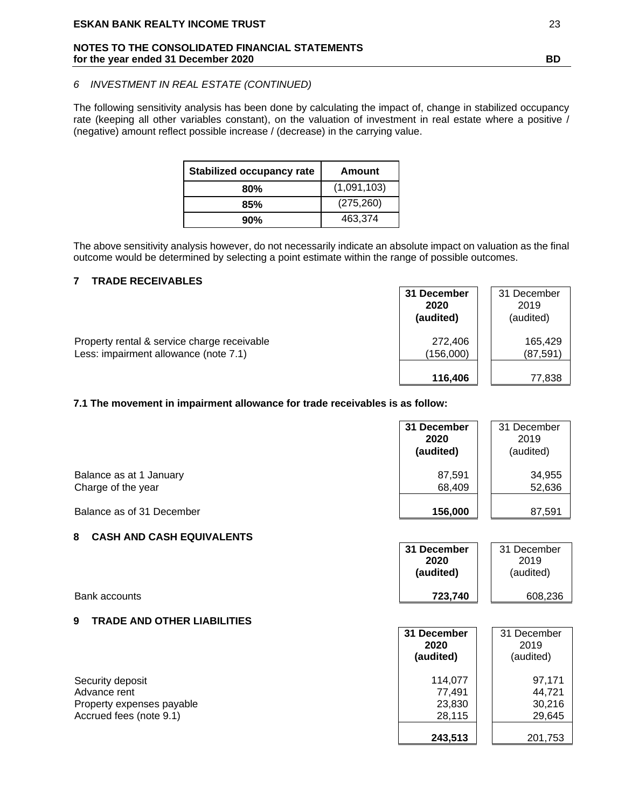#### **NOTES TO THE CONSOLIDATED FINANCIAL STATEMENTS for the year ended 31 December 2020 BD**

# *6 INVESTMENT IN REAL ESTATE (CONTINUED)*

The following sensitivity analysis has been done by calculating the impact of, change in stabilized occupancy rate (keeping all other variables constant), on the valuation of investment in real estate where a positive / (negative) amount reflect possible increase / (decrease) in the carrying value.

| <b>Stabilized occupancy rate</b> | Amount      |
|----------------------------------|-------------|
| 80%                              | (1,091,103) |
| 85%                              | (275, 260)  |
| 90%                              | 463.374     |

The above sensitivity analysis however, do not necessarily indicate an absolute impact on valuation as the final outcome would be determined by selecting a point estimate within the range of possible outcomes.

#### **7 TRADE RECEIVABLES**

|                                             | 31 December | 31 December |
|---------------------------------------------|-------------|-------------|
|                                             | 2020        | 2019        |
|                                             | (audited)   | (audited)   |
| Property rental & service charge receivable | 272,406     | 165,429     |
| Less: impairment allowance (note 7.1)       | (156,000)   | (87, 591)   |
|                                             | 116,406     | 77,838      |

#### **7.1 The movement in impairment allowance for trade receivables is as follow:**

|                                               | 31<br><b>December</b><br>2020<br>(audited) | 31 December<br>2019<br>(audited) |
|-----------------------------------------------|--------------------------------------------|----------------------------------|
| Balance as at 1 January<br>Charge of the year | 87,591<br>68,409                           | 34,955<br>52,636                 |
| Balance as of 31 December                     | 156,000                                    | 87,591                           |

# **8 CASH AND CASH EQUIVALENTS**

|                      | (audited) | (audited) |
|----------------------|-----------|-----------|
| <b>Bank accounts</b> | 723,740   | 608,236   |

**31 December 2020**

31 December 2019

# **9 TRADE AND OTHER LIABILITIES**

|                           | 31 December<br>2020<br>(audited) | 31 December<br>2019<br>(audited) |
|---------------------------|----------------------------------|----------------------------------|
| Security deposit          | 114,077                          | 97,171                           |
| Advance rent              | 77.491                           | 44.721                           |
| Property expenses payable | 23,830                           | 30,216                           |
| Accrued fees (note 9.1)   | 28,115                           | 29,645                           |
|                           | 243,513                          | 201,753                          |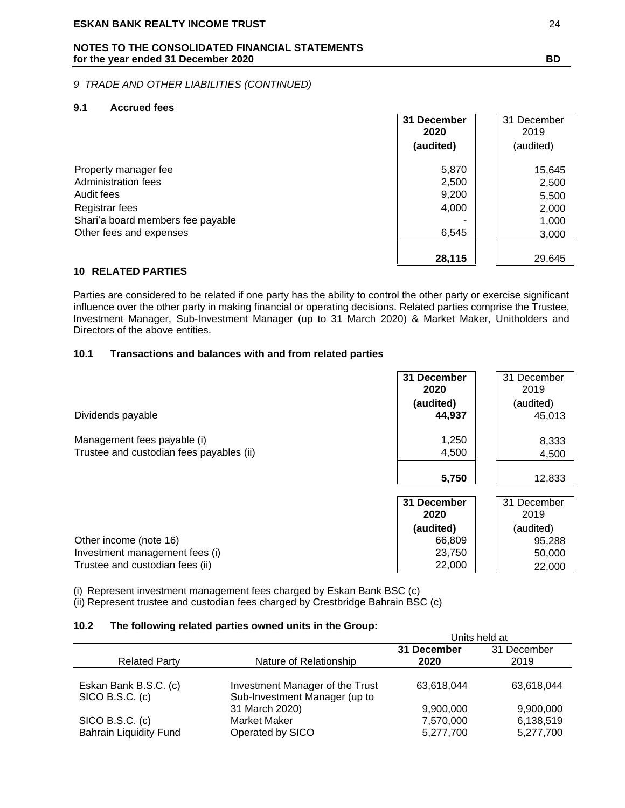#### **NOTES TO THE CONSOLIDATED FINANCIAL STATEMENTS for the year ended 31 December 2020 BD**

### *9 TRADE AND OTHER LIABILITIES (CONTINUED)*

### **9.1 Accrued fees**

|                                   | 31 December<br>2020 | 31 December<br>2019 |
|-----------------------------------|---------------------|---------------------|
|                                   | (audited)           | (audited)           |
| Property manager fee              | 5,870               | 15,645              |
| Administration fees               | 2,500               | 2,500               |
| Audit fees                        | 9,200               | 5,500               |
| Registrar fees                    | 4,000               | 2,000               |
| Shari'a board members fee payable |                     | 1,000               |
| Other fees and expenses           | 6,545               | 3,000               |
|                                   | 28,115              | 29,645              |

## **10 RELATED PARTIES**

Parties are considered to be related if one party has the ability to control the other party or exercise significant influence over the other party in making financial or operating decisions. Related parties comprise the Trustee, Investment Manager, Sub-Investment Manager (up to 31 March 2020) & Market Maker, Unitholders and Directors of the above entities.

# **10.1 Transactions and balances with and from related parties**

|                                                                                             | 31 December<br>2020                     | 31 December<br>2019                     |
|---------------------------------------------------------------------------------------------|-----------------------------------------|-----------------------------------------|
| Dividends payable                                                                           | (audited)<br>44,937                     | (audited)<br>45,013                     |
| Management fees payable (i)<br>Trustee and custodian fees payables (ii)                     | 1,250<br>4,500                          | 8,333<br>4,500                          |
|                                                                                             | 5,750                                   | 12,833                                  |
|                                                                                             | 31 December<br>2020                     | 31 December<br>2019                     |
| Other income (note 16)<br>Investment management fees (i)<br>Trustee and custodian fees (ii) | (audited)<br>66,809<br>23,750<br>22,000 | (audited)<br>95,288<br>50,000<br>22,000 |

(i) Represent investment management fees charged by Eskan Bank BSC (c)

(ii) Represent trustee and custodian fees charged by Crestbridge Bahrain BSC (c)

#### **10.2 The following related parties owned units in the Group:**

|                                          | Units held at                                                    |                     |                     |
|------------------------------------------|------------------------------------------------------------------|---------------------|---------------------|
| <b>Related Party</b>                     | Nature of Relationship                                           | 31 December<br>2020 | 31 December<br>2019 |
| Eskan Bank B.S.C. (c)<br>SICO B.S.C. (c) | Investment Manager of the Trust<br>Sub-Investment Manager (up to | 63,618,044          | 63,618,044          |
|                                          | 31 March 2020)                                                   | 9,900,000           | 9,900,000           |
| SICO B.S.C. (c)                          | <b>Market Maker</b>                                              | 7,570,000           | 6,138,519           |
| <b>Bahrain Liquidity Fund</b>            | Operated by SICO                                                 | 5,277,700           | 5,277,700           |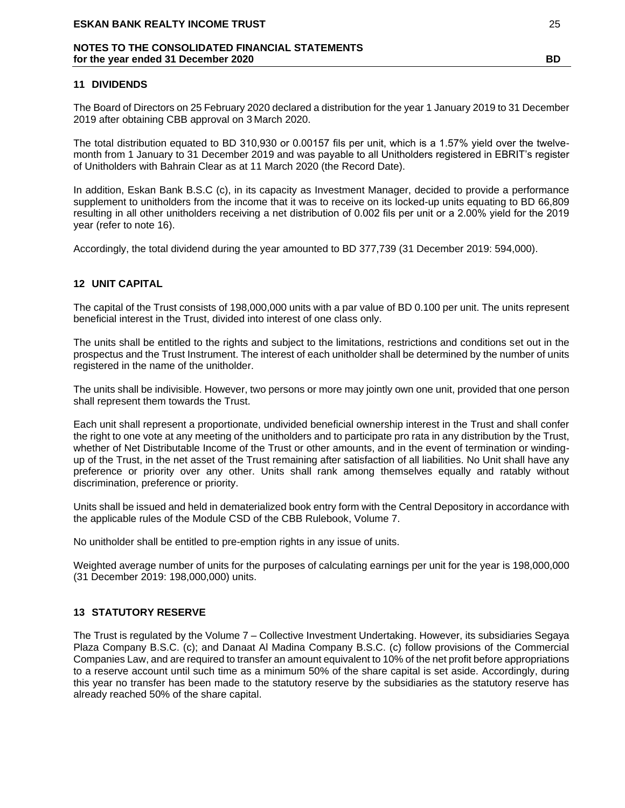#### **NOTES TO THE CONSOLIDATED FINANCIAL STATEMENTS for the year ended 31 December 2020 BD**

#### **11 DIVIDENDS**

The Board of Directors on 25 February 2020 declared a distribution for the year 1 January 2019 to 31 December 2019 after obtaining CBB approval on 3 March 2020.

The total distribution equated to BD 310,930 or 0.00157 fils per unit, which is a 1.57% yield over the twelvemonth from 1 January to 31 December 2019 and was payable to all Unitholders registered in EBRIT's register of Unitholders with Bahrain Clear as at 11 March 2020 (the Record Date).

In addition, Eskan Bank B.S.C (c), in its capacity as Investment Manager, decided to provide a performance supplement to unitholders from the income that it was to receive on its locked-up units equating to BD 66,809 resulting in all other unitholders receiving a net distribution of 0.002 fils per unit or a 2.00% yield for the 2019 year (refer to note 16).

Accordingly, the total dividend during the year amounted to BD 377,739 (31 December 2019: 594,000).

# **12 UNIT CAPITAL**

The capital of the Trust consists of 198,000,000 units with a par value of BD 0.100 per unit. The units represent beneficial interest in the Trust, divided into interest of one class only.

The units shall be entitled to the rights and subject to the limitations, restrictions and conditions set out in the prospectus and the Trust Instrument. The interest of each unitholder shall be determined by the number of units registered in the name of the unitholder.

The units shall be indivisible. However, two persons or more may jointly own one unit, provided that one person shall represent them towards the Trust.

Each unit shall represent a proportionate, undivided beneficial ownership interest in the Trust and shall confer the right to one vote at any meeting of the unitholders and to participate pro rata in any distribution by the Trust, whether of Net Distributable Income of the Trust or other amounts, and in the event of termination or windingup of the Trust, in the net asset of the Trust remaining after satisfaction of all liabilities. No Unit shall have any preference or priority over any other. Units shall rank among themselves equally and ratably without discrimination, preference or priority.

Units shall be issued and held in dematerialized book entry form with the Central Depository in accordance with the applicable rules of the Module CSD of the CBB Rulebook, Volume 7.

No unitholder shall be entitled to pre-emption rights in any issue of units.

Weighted average number of units for the purposes of calculating earnings per unit for the year is 198,000,000 (31 December 2019: 198,000,000) units.

#### **13 STATUTORY RESERVE**

The Trust is regulated by the Volume 7 – Collective Investment Undertaking. However, its subsidiaries Segaya Plaza Company B.S.C. (c); and Danaat Al Madina Company B.S.C. (c) follow provisions of the Commercial Companies Law, and are required to transfer an amount equivalent to 10% of the net profit before appropriations to a reserve account until such time as a minimum 50% of the share capital is set aside. Accordingly, during this year no transfer has been made to the statutory reserve by the subsidiaries as the statutory reserve has already reached 50% of the share capital.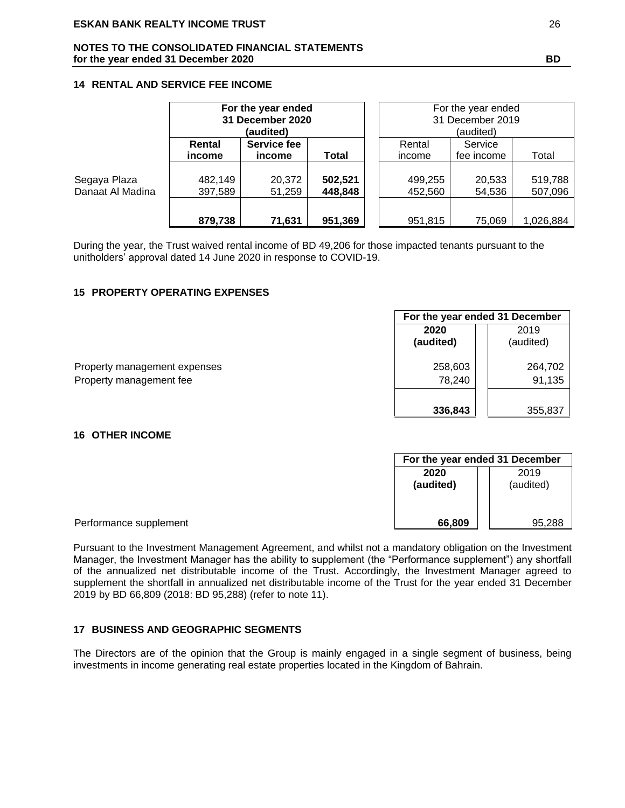#### **NOTES TO THE CONSOLIDATED FINANCIAL STATEMENTS for the year ended 31 December 2020 BD**

# **14 RENTAL AND SERVICE FEE INCOME**

|                                  |                         | For the year ended<br>31 December 2020<br>(audited) |                    |                    | For the year ended<br>31 December 2019<br>(audited) |                    |
|----------------------------------|-------------------------|-----------------------------------------------------|--------------------|--------------------|-----------------------------------------------------|--------------------|
|                                  | Rental<br><i>income</i> | Service fee<br><i>income</i>                        | Total              | Rental<br>income   | Service<br>fee income                               | Total              |
| Segaya Plaza<br>Danaat Al Madina | 482,149<br>397,589      | 20,372<br>51,259                                    | 502,521<br>448.848 | 499,255<br>452,560 | 20,533<br>54,536                                    | 519,788<br>507,096 |
|                                  | 879,738                 | 71,631                                              | 951,369            | 951,815            | 75,069                                              | 1,026,884          |

During the year, the Trust waived rental income of BD 49,206 for those impacted tenants pursuant to the unitholders' approval dated 14 June 2020 in response to COVID-19.

#### **15 PROPERTY OPERATING EXPENSES**

|                                                         |                   | For the year ended 31 December |  |
|---------------------------------------------------------|-------------------|--------------------------------|--|
|                                                         | 2020<br>(audited) | 2019<br>(audited)              |  |
| Property management expenses<br>Property management fee | 258,603<br>78,240 | 264,702<br>91,135              |  |
|                                                         | 336,843           | 355,837                        |  |

## **16 OTHER INCOME**

|                                        | For the year ended 31 December |  |  |
|----------------------------------------|--------------------------------|--|--|
| 2019<br>2020<br>(audited)<br>(audited) |                                |  |  |
| 66.809                                 | 95.288                         |  |  |

**Performance supplement** 

Pursuant to the Investment Management Agreement, and whilst not a mandatory obligation on the Investment Manager, the Investment Manager has the ability to supplement (the "Performance supplement") any shortfall of the annualized net distributable income of the Trust. Accordingly, the Investment Manager agreed to supplement the shortfall in annualized net distributable income of the Trust for the year ended 31 December 2019 by BD 66,809 (2018: BD 95,288) (refer to note 11).

## **17 BUSINESS AND GEOGRAPHIC SEGMENTS**

The Directors are of the opinion that the Group is mainly engaged in a single segment of business, being investments in income generating real estate properties located in the Kingdom of Bahrain.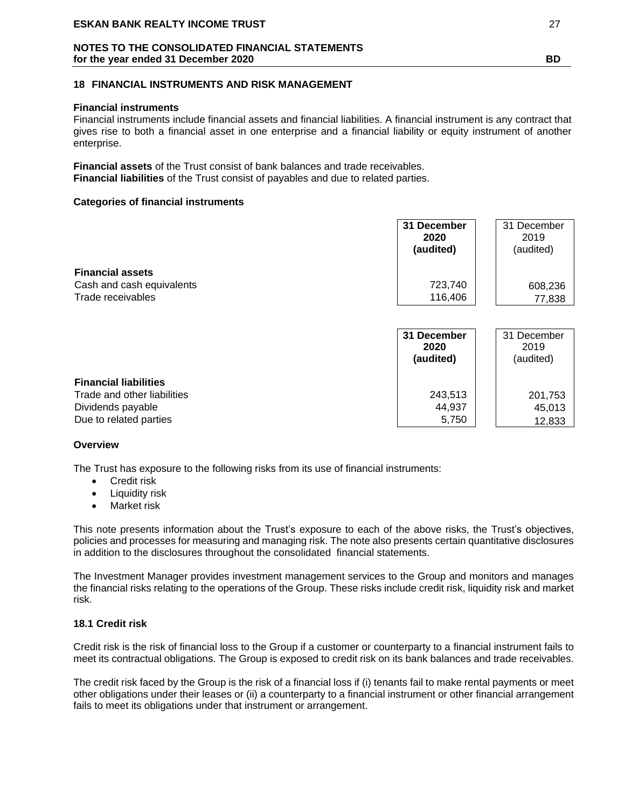#### **NOTES TO THE CONSOLIDATED FINANCIAL STATEMENTS for the year ended 31 December 2020 BD**

# **18 FINANCIAL INSTRUMENTS AND RISK MANAGEMENT**

#### **Financial instruments**

Financial instruments include financial assets and financial liabilities. A financial instrument is any contract that gives rise to both a financial asset in one enterprise and a financial liability or equity instrument of another enterprise.

**Financial assets** of the Trust consist of bank balances and trade receivables. **Financial liabilities** of the Trust consist of payables and due to related parties.

#### **Categories of financial instruments**

|                              | 31 December<br>2020 | 31 December<br>2019 |
|------------------------------|---------------------|---------------------|
|                              | (audited)           | (audited)           |
| <b>Financial assets</b>      |                     |                     |
| Cash and cash equivalents    | 723,740             | 608,236             |
| Trade receivables            | 116,406             | 77,838              |
|                              |                     |                     |
|                              | 31 December         | 31 December         |
|                              | 2020                | 2019                |
|                              | (audited)           | (audited)           |
| <b>Financial liabilities</b> |                     |                     |
| Trade and other liabilities  | 243,513             | 201,753             |
| Dividends payable            | 44,937              | 45,013              |
| Due to related parties       | 5,750               | 12,833              |

#### **Overview**

The Trust has exposure to the following risks from its use of financial instruments:

- Credit risk
- Liquidity risk
- Market risk

This note presents information about the Trust's exposure to each of the above risks, the Trust's objectives, policies and processes for measuring and managing risk. The note also presents certain quantitative disclosures in addition to the disclosures throughout the consolidated financial statements.

The Investment Manager provides investment management services to the Group and monitors and manages the financial risks relating to the operations of the Group. These risks include credit risk, liquidity risk and market risk.

#### **18.1 Credit risk**

Credit risk is the risk of financial loss to the Group if a customer or counterparty to a financial instrument fails to meet its contractual obligations. The Group is exposed to credit risk on its bank balances and trade receivables.

The credit risk faced by the Group is the risk of a financial loss if (i) tenants fail to make rental payments or meet other obligations under their leases or (ii) a counterparty to a financial instrument or other financial arrangement fails to meet its obligations under that instrument or arrangement.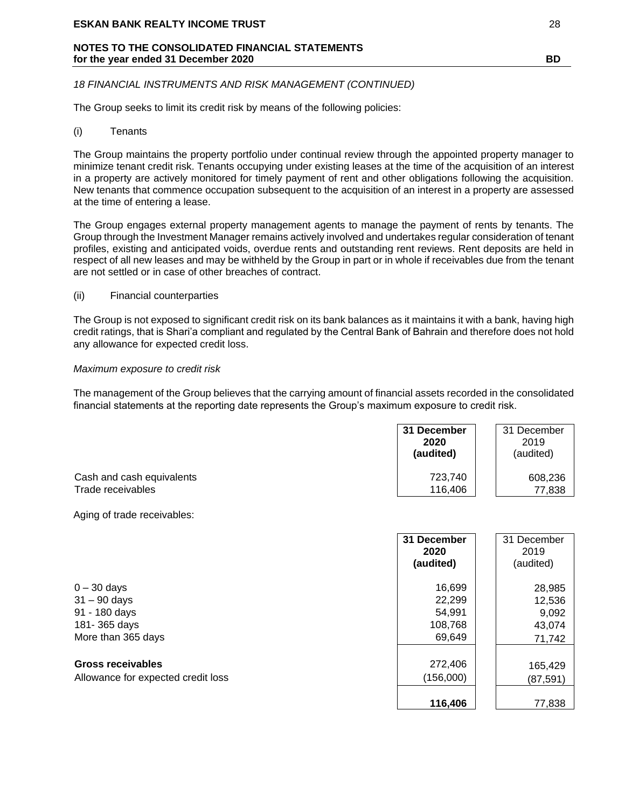#### **NOTES TO THE CONSOLIDATED FINANCIAL STATEMENTS for the year ended 31 December 2020 BD**

### *18 FINANCIAL INSTRUMENTS AND RISK MANAGEMENT (CONTINUED)*

The Group seeks to limit its credit risk by means of the following policies:

(i) Tenants

The Group maintains the property portfolio under continual review through the appointed property manager to minimize tenant credit risk. Tenants occupying under existing leases at the time of the acquisition of an interest in a property are actively monitored for timely payment of rent and other obligations following the acquisition. New tenants that commence occupation subsequent to the acquisition of an interest in a property are assessed at the time of entering a lease.

The Group engages external property management agents to manage the payment of rents by tenants. The Group through the Investment Manager remains actively involved and undertakes regular consideration of tenant profiles, existing and anticipated voids, overdue rents and outstanding rent reviews. Rent deposits are held in respect of all new leases and may be withheld by the Group in part or in whole if receivables due from the tenant are not settled or in case of other breaches of contract.

(ii) Financial counterparties

The Group is not exposed to significant credit risk on its bank balances as it maintains it with a bank, having high credit ratings, that is Shari'a compliant and regulated by the Central Bank of Bahrain and therefore does not hold any allowance for expected credit loss.

#### *Maximum exposure to credit risk*

The management of the Group believes that the carrying amount of financial assets recorded in the consolidated financial statements at the reporting date represents the Group's maximum exposure to credit risk.

|                           | 31 December | 31 December |
|---------------------------|-------------|-------------|
|                           | 2020        | 2019        |
|                           | (audited)   | (audited)   |
|                           |             |             |
| Cash and cash equivalents | 723.740     | 608,236     |
| Trade receivables         | 116,406     | 77,838      |

**31 December** 

31 December

Aging of trade receivables:

|                                                                                        | 2020<br>(audited)                               | 2019<br>(audited)                             |
|----------------------------------------------------------------------------------------|-------------------------------------------------|-----------------------------------------------|
| $0 - 30$ days<br>$31 - 90$ days<br>91 - 180 days<br>181-365 days<br>More than 365 days | 16,699<br>22,299<br>54,991<br>108,768<br>69,649 | 28,985<br>12,536<br>9,092<br>43,074<br>71,742 |
| <b>Gross receivables</b><br>Allowance for expected credit loss                         | 272,406<br>(156,000)<br>116,406                 | 165,429<br>(87, 591)<br>77,838                |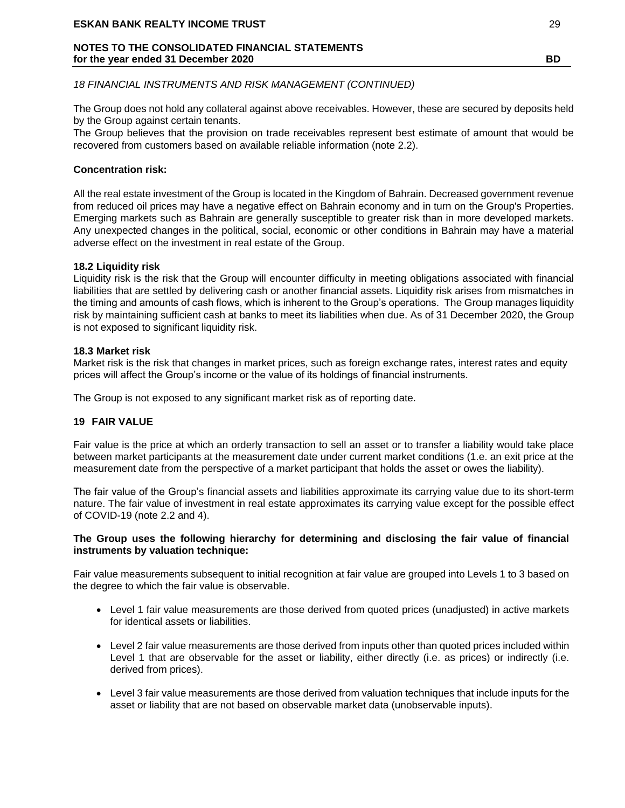#### **NOTES TO THE CONSOLIDATED FINANCIAL STATEMENTS for the year ended 31 December 2020 BD**

# *18 FINANCIAL INSTRUMENTS AND RISK MANAGEMENT (CONTINUED)*

The Group does not hold any collateral against above receivables. However, these are secured by deposits held by the Group against certain tenants.

The Group believes that the provision on trade receivables represent best estimate of amount that would be recovered from customers based on available reliable information (note 2.2).

#### **Concentration risk:**

All the real estate investment of the Group is located in the Kingdom of Bahrain. Decreased government revenue from reduced oil prices may have a negative effect on Bahrain economy and in turn on the Group's Properties. Emerging markets such as Bahrain are generally susceptible to greater risk than in more developed markets. Any unexpected changes in the political, social, economic or other conditions in Bahrain may have a material adverse effect on the investment in real estate of the Group.

#### **18.2 Liquidity risk**

Liquidity risk is the risk that the Group will encounter difficulty in meeting obligations associated with financial liabilities that are settled by delivering cash or another financial assets. Liquidity risk arises from mismatches in the timing and amounts of cash flows, which is inherent to the Group's operations. The Group manages liquidity risk by maintaining sufficient cash at banks to meet its liabilities when due. As of 31 December 2020, the Group is not exposed to significant liquidity risk.

#### **18.3 Market risk**

Market risk is the risk that changes in market prices, such as foreign exchange rates, interest rates and equity prices will affect the Group's income or the value of its holdings of financial instruments.

The Group is not exposed to any significant market risk as of reporting date.

# **19 FAIR VALUE**

Fair value is the price at which an orderly transaction to sell an asset or to transfer a liability would take place between market participants at the measurement date under current market conditions (1.e. an exit price at the measurement date from the perspective of a market participant that holds the asset or owes the liability).

The fair value of the Group's financial assets and liabilities approximate its carrying value due to its short-term nature. The fair value of investment in real estate approximates its carrying value except for the possible effect of COVID-19 (note 2.2 and 4).

#### **The Group uses the following hierarchy for determining and disclosing the fair value of financial instruments by valuation technique:**

Fair value measurements subsequent to initial recognition at fair value are grouped into Levels 1 to 3 based on the degree to which the fair value is observable.

- Level 1 fair value measurements are those derived from quoted prices (unadjusted) in active markets for identical assets or liabilities.
- Level 2 fair value measurements are those derived from inputs other than quoted prices included within Level 1 that are observable for the asset or liability, either directly (i.e. as prices) or indirectly (i.e. derived from prices).
- Level 3 fair value measurements are those derived from valuation techniques that include inputs for the asset or liability that are not based on observable market data (unobservable inputs).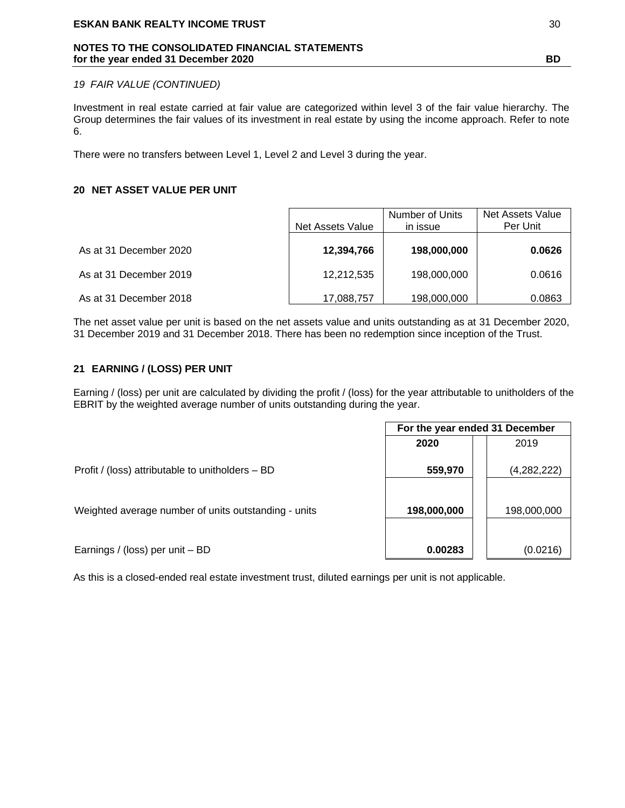#### **NOTES TO THE CONSOLIDATED FINANCIAL STATEMENTS for the year ended 31 December 2020 BD**

## *19 FAIR VALUE (CONTINUED)*

Investment in real estate carried at fair value are categorized within level 3 of the fair value hierarchy. The Group determines the fair values of its investment in real estate by using the income approach. Refer to note 6.

There were no transfers between Level 1, Level 2 and Level 3 during the year.

# **20 NET ASSET VALUE PER UNIT**

|                        | Net Assets Value | Number of Units<br>in issue | Net Assets Value<br>Per Unit |
|------------------------|------------------|-----------------------------|------------------------------|
| As at 31 December 2020 | 12,394,766       | 198,000,000                 | 0.0626                       |
| As at 31 December 2019 | 12,212,535       | 198,000,000                 | 0.0616                       |
| As at 31 December 2018 | 17,088,757       | 198,000,000                 | 0.0863                       |

The net asset value per unit is based on the net assets value and units outstanding as at 31 December 2020, 31 December 2019 and 31 December 2018. There has been no redemption since inception of the Trust.

# **21 EARNING / (LOSS) PER UNIT**

Earning / (loss) per unit are calculated by dividing the profit / (loss) for the year attributable to unitholders of the EBRIT by the weighted average number of units outstanding during the year.

 $\mathbf{r}$ 

|                                                      | For the year ended 31 December |             |
|------------------------------------------------------|--------------------------------|-------------|
|                                                      | 2020                           | 2019        |
| Profit / (loss) attributable to unitholders - BD     | 559,970                        | (4,282,222) |
| Weighted average number of units outstanding - units | 198,000,000                    | 198,000,000 |
| Earnings / (loss) per unit - BD                      | 0.00283                        | (0.0216)    |

As this is a closed-ended real estate investment trust, diluted earnings per unit is not applicable.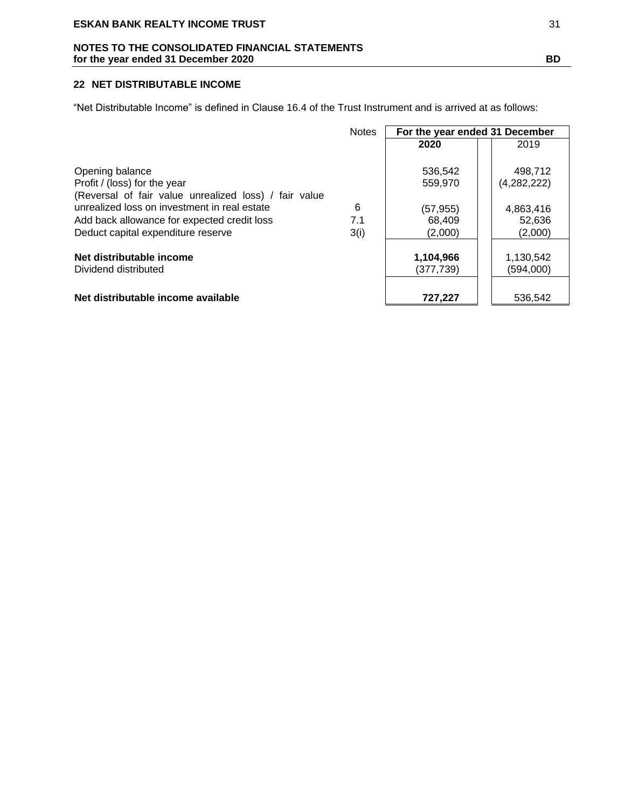## **NOTES TO THE CONSOLIDATED FINANCIAL STATEMENTS for the year ended 31 December 2020 BD**

# **22 NET DISTRIBUTABLE INCOME**

"Net Distributable Income" is defined in Clause 16.4 of the Trust Instrument and is arrived at as follows:

|                                                       | <b>Notes</b> | For the year ended 31 December |             |
|-------------------------------------------------------|--------------|--------------------------------|-------------|
|                                                       |              | 2020                           | 2019        |
|                                                       |              |                                |             |
| Opening balance                                       |              | 536,542                        | 498.712     |
| Profit / (loss) for the year                          |              | 559,970                        | (4,282,222) |
| (Reversal of fair value unrealized loss) / fair value |              |                                |             |
| unrealized loss on investment in real estate          | 6            | (57, 955)                      | 4,863,416   |
| Add back allowance for expected credit loss           | 7.1          | 68.409                         | 52,636      |
| Deduct capital expenditure reserve                    | 3(i)         | (2,000)                        | (2,000)     |
|                                                       |              |                                |             |
| Net distributable income                              |              | 1,104,966                      | 1,130,542   |
| Dividend distributed                                  |              | (377,739)                      | (594,000)   |
|                                                       |              |                                |             |
| Net distributable income available                    |              | 727,227                        | 536.542     |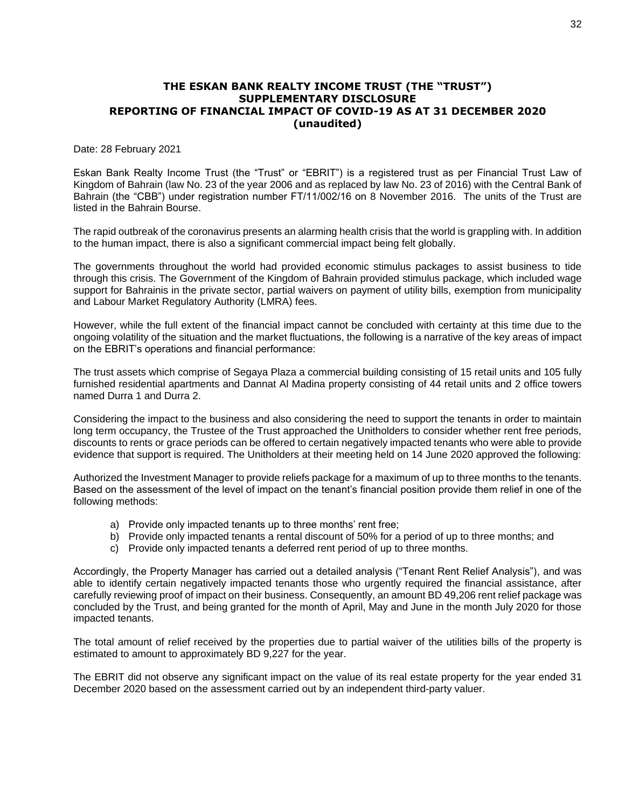# **THE ESKAN BANK REALTY INCOME TRUST (THE "TRUST") SUPPLEMENTARY DISCLOSURE REPORTING OF FINANCIAL IMPACT OF COVID-19 AS AT 31 DECEMBER 2020 (unaudited)**

#### Date: 28 February 2021

Eskan Bank Realty Income Trust (the "Trust" or "EBRIT") is a registered trust as per Financial Trust Law of Kingdom of Bahrain (law No. 23 of the year 2006 and as replaced by law No. 23 of 2016) with the Central Bank of Bahrain (the "CBB") under registration number FT/11/002/16 on 8 November 2016. The units of the Trust are listed in the Bahrain Bourse.

The rapid outbreak of the coronavirus presents an alarming health crisis that the world is grappling with. In addition to the human impact, there is also a significant commercial impact being felt globally.

The governments throughout the world had provided economic stimulus packages to assist business to tide through this crisis. The Government of the Kingdom of Bahrain provided stimulus package, which included wage support for Bahrainis in the private sector, partial waivers on payment of utility bills, exemption from municipality and Labour Market Regulatory Authority (LMRA) fees.

However, while the full extent of the financial impact cannot be concluded with certainty at this time due to the ongoing volatility of the situation and the market fluctuations, the following is a narrative of the key areas of impact on the EBRIT's operations and financial performance:

The trust assets which comprise of Segaya Plaza a commercial building consisting of 15 retail units and 105 fully furnished residential apartments and Dannat Al Madina property consisting of 44 retail units and 2 office towers named Durra 1 and Durra 2.

Considering the impact to the business and also considering the need to support the tenants in order to maintain long term occupancy, the Trustee of the Trust approached the Unitholders to consider whether rent free periods, discounts to rents or grace periods can be offered to certain negatively impacted tenants who were able to provide evidence that support is required. The Unitholders at their meeting held on 14 June 2020 approved the following:

Authorized the Investment Manager to provide reliefs package for a maximum of up to three months to the tenants. Based on the assessment of the level of impact on the tenant's financial position provide them relief in one of the following methods:

- a) Provide only impacted tenants up to three months' rent free;
- b) Provide only impacted tenants a rental discount of 50% for a period of up to three months; and
- c) Provide only impacted tenants a deferred rent period of up to three months.

Accordingly, the Property Manager has carried out a detailed analysis ("Tenant Rent Relief Analysis"), and was able to identify certain negatively impacted tenants those who urgently required the financial assistance, after carefully reviewing proof of impact on their business. Consequently, an amount BD 49,206 rent relief package was concluded by the Trust, and being granted for the month of April, May and June in the month July 2020 for those impacted tenants.

The total amount of relief received by the properties due to partial waiver of the utilities bills of the property is estimated to amount to approximately BD 9,227 for the year.

The EBRIT did not observe any significant impact on the value of its real estate property for the year ended 31 December 2020 based on the assessment carried out by an independent third-party valuer.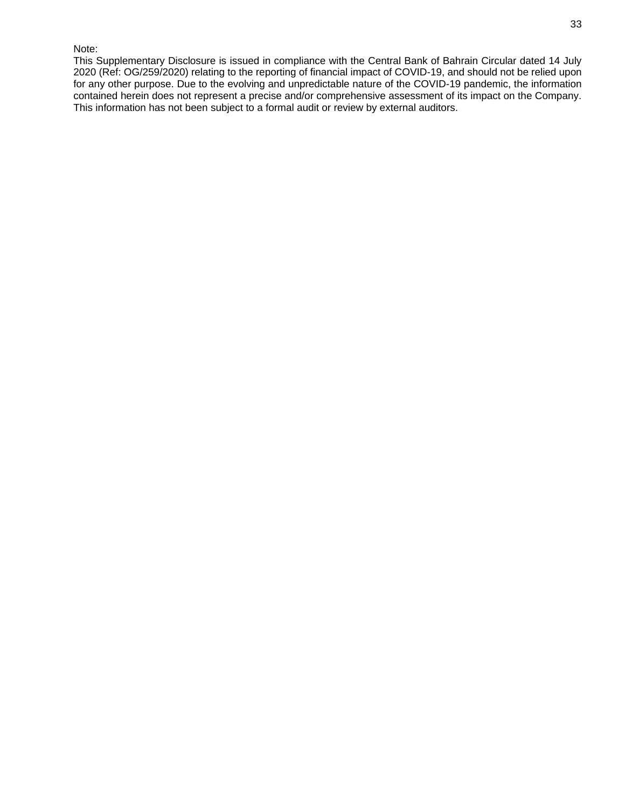#### Note:

This Supplementary Disclosure is issued in compliance with the Central Bank of Bahrain Circular dated 14 July 2020 (Ref: OG/259/2020) relating to the reporting of financial impact of COVID-19, and should not be relied upon for any other purpose. Due to the evolving and unpredictable nature of the COVID-19 pandemic, the information contained herein does not represent a precise and/or comprehensive assessment of its impact on the Company. This information has not been subject to a formal audit or review by external auditors.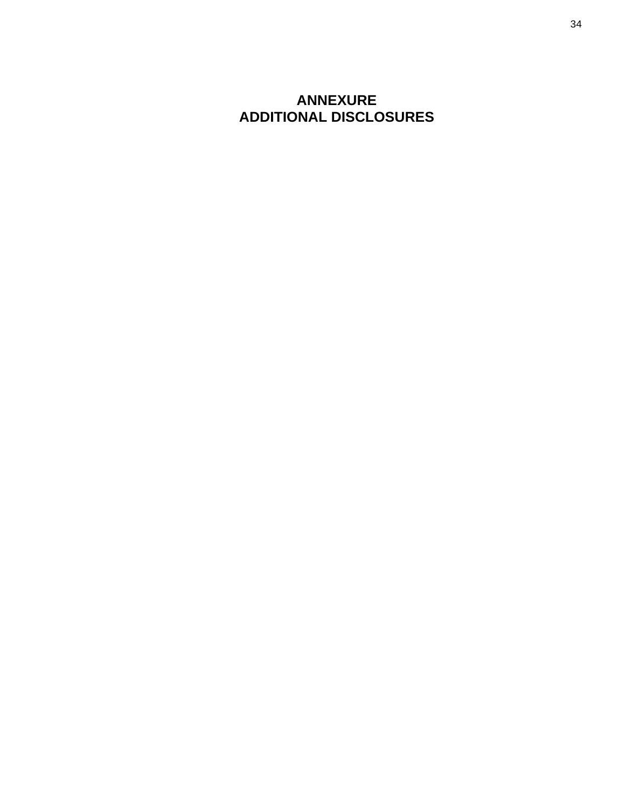# **ANNEXURE ADDITIONAL DISCLOSURES**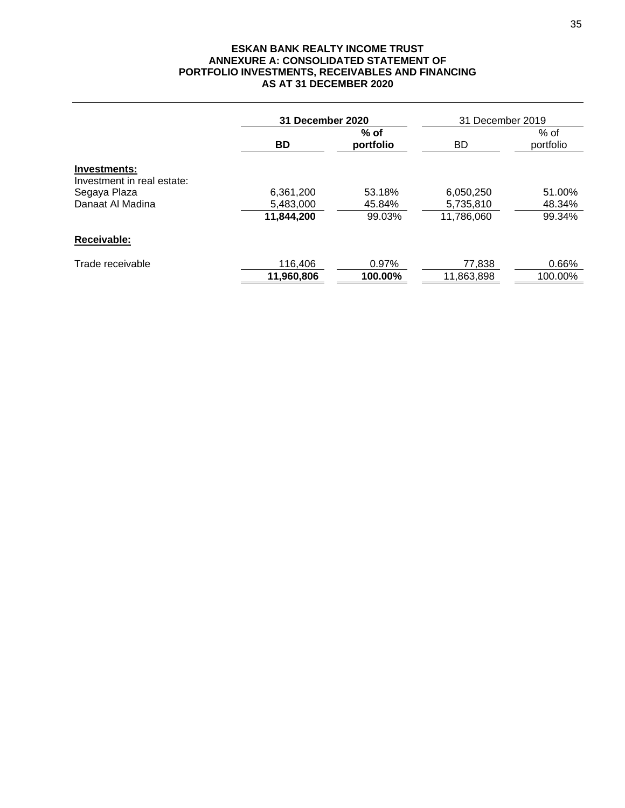# **ESKAN BANK REALTY INCOME TRUST ANNEXURE A: CONSOLIDATED STATEMENT OF PORTFOLIO INVESTMENTS, RECEIVABLES AND FINANCING AS AT 31 DECEMBER 2020**

|                                            | 31 December 2020 |                     | 31 December 2019 |                     |
|--------------------------------------------|------------------|---------------------|------------------|---------------------|
|                                            | BD               | $%$ of<br>portfolio | BD.              | $%$ of<br>portfolio |
| Investments:<br>Investment in real estate: |                  |                     |                  |                     |
| Segaya Plaza                               | 6,361,200        | 53.18%              | 6,050,250        | 51.00%              |
| Danaat Al Madina                           | 5,483,000        | 45.84%              | 5,735,810        | 48.34%              |
|                                            | 11,844,200       | 99.03%              | 11,786,060       | 99.34%              |
| Receivable:                                |                  |                     |                  |                     |
| Trade receivable                           | 116,406          | 0.97%               | 77,838           | 0.66%               |
|                                            | 11,960,806       | 100.00%             | 11,863,898       | 100.00%             |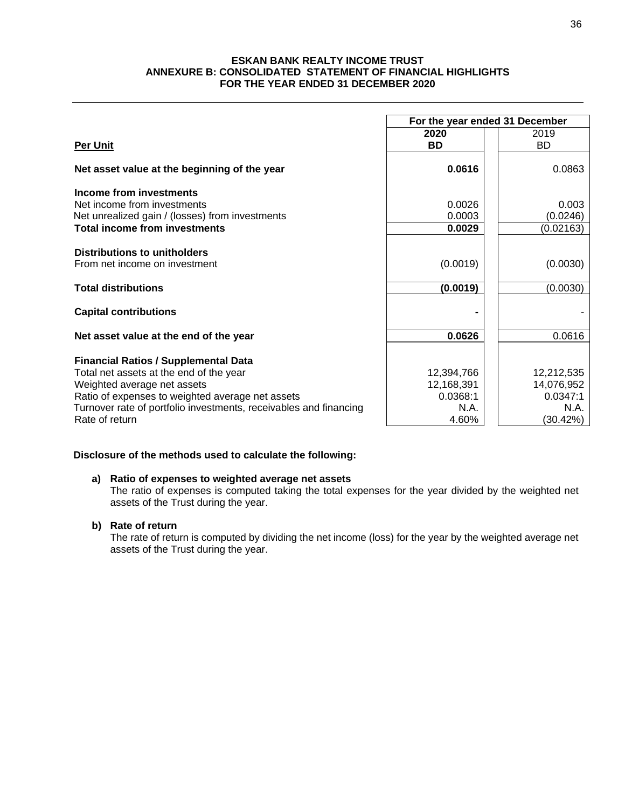## **ESKAN BANK REALTY INCOME TRUST ANNEXURE B: CONSOLIDATED STATEMENT OF FINANCIAL HIGHLIGHTS FOR THE YEAR ENDED 31 DECEMBER 2020**

|                                                                                                           | For the year ended 31 December |                   |
|-----------------------------------------------------------------------------------------------------------|--------------------------------|-------------------|
|                                                                                                           | 2020                           | 2019              |
| <b>Per Unit</b>                                                                                           | <b>BD</b>                      | <b>BD</b>         |
| Net asset value at the beginning of the year                                                              | 0.0616                         | 0.0863            |
| Income from investments<br>Net income from investments<br>Net unrealized gain / (losses) from investments | 0.0026<br>0.0003               | 0.003<br>(0.0246) |
| <b>Total income from investments</b>                                                                      | 0.0029                         | (0.02163)         |
| <b>Distributions to unitholders</b><br>From net income on investment                                      | (0.0019)                       | (0.0030)          |
| <b>Total distributions</b>                                                                                | (0.0019)                       | (0.0030)          |
|                                                                                                           |                                |                   |
| <b>Capital contributions</b>                                                                              |                                |                   |
| Net asset value at the end of the year                                                                    | 0.0626                         | 0.0616            |
| <b>Financial Ratios / Supplemental Data</b>                                                               |                                |                   |
| Total net assets at the end of the year                                                                   | 12,394,766                     | 12,212,535        |
| Weighted average net assets                                                                               | 12,168,391                     | 14,076,952        |
| Ratio of expenses to weighted average net assets                                                          | 0.0368:1                       | 0.0347:1          |
| Turnover rate of portfolio investments, receivables and financing                                         | N.A.                           | N.A.              |
| Rate of return                                                                                            | 4.60%                          | (30.42%)          |

## **Disclosure of the methods used to calculate the following:**

# **a) Ratio of expenses to weighted average net assets**

The ratio of expenses is computed taking the total expenses for the year divided by the weighted net assets of the Trust during the year.

# **b) Rate of return**

The rate of return is computed by dividing the net income (loss) for the year by the weighted average net assets of the Trust during the year.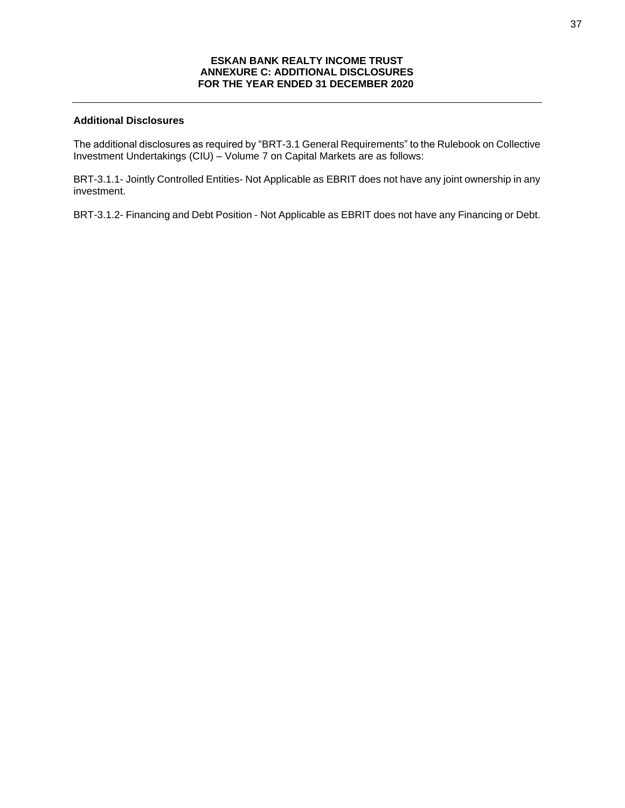### **ESKAN BANK REALTY INCOME TRUST ANNEXURE C: ADDITIONAL DISCLOSURES FOR THE YEAR ENDED 31 DECEMBER 2020**

# **Additional Disclosures**

The additional disclosures as required by "BRT-3.1 General Requirements" to the Rulebook on Collective Investment Undertakings (CIU) – Volume 7 on Capital Markets are as follows:

BRT-3.1.1- Jointly Controlled Entities- Not Applicable as EBRIT does not have any joint ownership in any investment.

BRT-3.1.2- Financing and Debt Position - Not Applicable as EBRIT does not have any Financing or Debt.